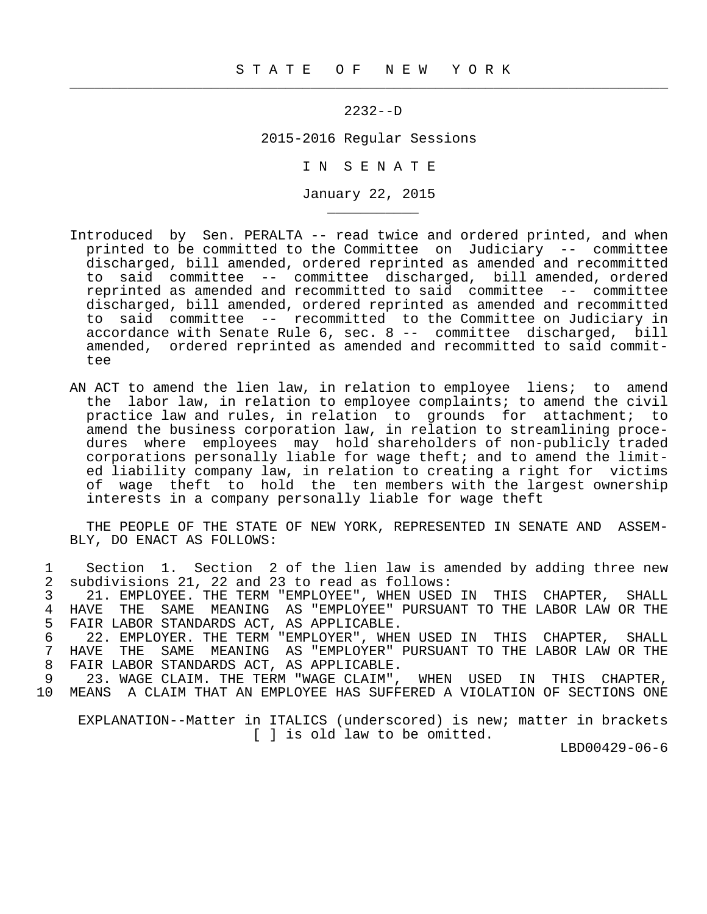$\frac{1}{2}$  , and the contribution of the contribution of the contribution of the contribution of the contribution of the contribution of the contribution of the contribution of the contribution of the contribution of the c

\_\_\_\_\_\_\_\_\_\_\_

## 2232--D

2015-2016 Regular Sessions

I N S E N A T E

January 22, 2015

- Introduced by Sen. PERALTA -- read twice and ordered printed, and when printed to be committed to the Committee on Judiciary -- committee discharged, bill amended, ordered reprinted as amended and recommitted to said committee -- committee discharged, bill amended, ordered reprinted as amended and recommitted to said committee -- committee discharged, bill amended, ordered reprinted as amended and recommitted to said committee -- recommitted to the Committee on Judiciary in accordance with Senate Rule 6, sec. 8 -- committee discharged, bill amended, ordered reprinted as amended and recommitted to said committee
- AN ACT to amend the lien law, in relation to employee liens; to amend the labor law, in relation to employee complaints; to amend the civil practice law and rules, in relation to grounds for attachment; to amend the business corporation law, in relation to streamlining proce dures where employees may hold shareholders of non-publicly traded corporations personally liable for wage theft; and to amend the limit ed liability company law, in relation to creating a right for victims of wage theft to hold the ten members with the largest ownership interests in a company personally liable for wage theft

 THE PEOPLE OF THE STATE OF NEW YORK, REPRESENTED IN SENATE AND ASSEM- BLY, DO ENACT AS FOLLOWS:

1 Section 1. Section 2 of the lien law is amended by adding three new<br>2 subdivisions 21. 22 and 23 to read as follows: 2 subdivisions 21, 22 and 23 to read as follows:<br>3 21. EMPLOYEE. THE TERM "EMPLOYEE", WHEN USED 3 21. EMPLOYEE. THE TERM "EMPLOYEE", WHEN USED IN THIS CHAPTER, SHALL 4 HAVE THE SAME MEANING AS "EMPLOYEE" PURSUANT TO THE LABOR LAW OR THE 5 FAIR LABOR STANDARDS ACT, AS APPLICABLE.<br>6 22. EMPLOYER, THE TERM "EMPLOYER", WHE 6 5 22. EMPLOYER. THE TERM "EMPLOYER", WHEN USED IN THIS CHAPTER, SHALL 6 (22. EMPLOYER ) 7 HAVE THE SAME MEANING AS "EMPLOYER" PURSUANT TO THE LABOR LAW OR THE 8 FAIR LABOR STANDARDS ACT, AS APPLICABLE. 9 23. WAGE CLAIM. THE TERM "WAGE CLAIM", WHEN USED IN THIS CHAPTER,<br>10 MEANS A CLAIM THAT AN EMPLOYEE HAS SUFFERED A VIOLATION OF SECTIONS ONE

10 MEANS A CLAIM THAT AN EMPLOYEE HAS SUFFERED A VIOLATION OF SECTIONS ONE

 EXPLANATION--Matter in ITALICS (underscored) is new; matter in brackets [ ] is old law to be omitted.

LBD00429-06-6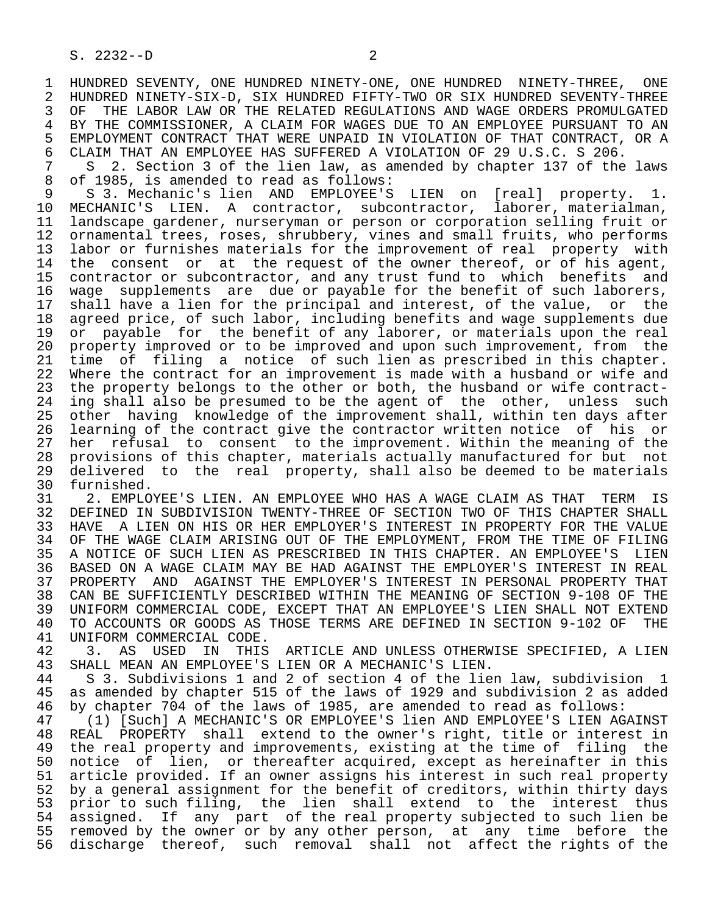1 HUNDRED SEVENTY, ONE HUNDRED NINETY-ONE, ONE HUNDRED NINETY-THREE, ONE<br>2 HUNDRED NINETY-SIX-D. SIX HUNDRED FIFTY-TWO OR SIX HUNDRED SEVENTY-THREE 2 HUNDRED NINETY-SIX-D, SIX HUNDRED FIFTY-TWO OR SIX HUNDRED SEVENTY-THREE OF THE LABOR LAW OR THE RELATED REGULATIONS AND WAGE ORDERS PROMULGATED 4 BY THE COMMISSIONER, A CLAIM FOR WAGES DUE TO AN EMPLOYEE PURSUANT TO AN 5 EMPLOYMENT CONTRACT THAT WERE UNPAID IN VIOLATION OF THAT CONTRACT, OR A<br>6 CLAIM THAT AN EMPLOYEE HAS SUFFERED A VIOLATION OF 29 U.S.C. S 206. 6 CLAIM THAT AN EMPLOYEE HAS SUFFERED A VIOLATION OF 29 U.S.C. S 206.<br>7 S 2. Section 3 of the lien law, as amended by chapter 137 of the

7 S 2. Section 3 of the lien law, as amended by chapter 137 of the laws<br>8 of 1985, is amended to read as follows: 8 of 1985, is amended to read as follows:<br>9 S 3. Mechanic's lien AND EMPLOYEE'S

9 S 3. Mechanic's lien AND EMPLOYEE'S LIEN on [real] property. 1.<br>10 MECHANIC'S LIEN. A contractor, subcontractor, laborer, materialman, 10 MECHANIC'S LIEN. A contractor, subcontractor, laborer, materialman,<br>11 landscape gardener, nurseryman or person or corporation selling fruit or 11 landscape gardener, nurseryman or person or corporation selling fruit or 12 ornamental trees, roses, shrubbery, vines and small fruits, who performs<br>13 labor or furnishes materials for the improvement of real property with 13 labor or furnishes materials for the improvement of real property with<br>14 the consent or at the request of the owner thereof, or of his agent, the consent or at the request of the owner thereof, or of his agent, 15 contractor or subcontractor, and any trust fund to which benefits and 16 wage supplements are due or payable for the benefit of such laborers,<br>17 shall have a lien for the principal and interest, of the value, or the 17 shall have a lien for the principal and interest, of the value, or the<br>18 agreed price, of such labor, including benefits and wage supplements due 18 agreed price, of such labor, including benefits and wage supplements due<br>19 or payable for the benefit of any laborer, or materials upon the real 19 or payable for the benefit of any laborer, or materials upon the real<br>20 property improved or to be improved and upon such improvement, from the 20 property improved or to be improved and upon such improvement, from the<br>21 time of filing a notice of such lien as prescribed in this chapter. 21 time of filing a notice of such lien as prescribed in this chapter.<br>22 Where the contract for an improvement is made with a husband or wife and 22 Where the contract for an improvement is made with a husband or wife and<br>23 the property belongs to the other or both, the husband or wife contractthe property belongs to the other or both, the husband or wife contract-24 ing shall also be presumed to be the agent of the other, unless such<br>25 other having knowledge of the improvement shall, within ten days after other having knowledge of the improvement shall, within ten days after 26 learning of the contract give the contractor written notice of his or<br>27 her refusal to consent to the improvement. Within the meaning of the 27 her refusal to consent to the improvement. Within the meaning of the 28 provisions of this chapter, materials actually manufactured for but not 29 delivered to the real property, shall also be deemed to be materials<br>30 furnished.

30 furnished.<br>31 2. EMPLO 31 2. EMPLOYEE'S LIEN. AN EMPLOYEE WHO HAS A WAGE CLAIM AS THAT TERM IS<br>32 DEFINED IN SUBDIVISION TWENTY-THREE OF SECTION TWO OF THIS CHAPTER SHALL 32 DEFINED IN SUBDIVISION TWENTY-THREE OF SECTION TWO OF THIS CHAPTER SHALL<br>33 HAVE A LIEN ON HIS OR HER EMPLOYER'S INTEREST IN PROPERTY FOR THE VALUE 33 HAVE A LIEN ON HIS OR HER EMPLOYER'S INTEREST IN PROPERTY FOR THE VALUE<br>34 OF THE WAGE CLAIM ARISING OUT OF THE EMPLOYMENT, FROM THE TIME OF FILING 34 OF THE WAGE CLAIM ARISING OUT OF THE EMPLOYMENT, FROM THE TIME OF FILING<br>35 A NOTICE OF SUCH LIEN AS PRESCRIBED IN THIS CHAPTER. AN EMPLOYEE'S LIEN 35 A NOTICE OF SUCH LIEN AS PRESCRIBED IN THIS CHAPTER. AN EMPLOYEE'S LIEN<br>36 BASED ON A WAGE CLAIM MAY BE HAD AGAINST THE EMPLOYER'S INTEREST IN REAL BASED ON A WAGE CLAIM MAY BE HAD AGAINST THE EMPLOYER'S INTEREST IN REAL 37 PROPERTY AND AGAINST THE EMPLOYER'S INTEREST IN PERSONAL PROPERTY THAT 38 CAN BE SUFFICIENTLY DESCRIBED WITHIN THE MEANING OF SECTION 9-108 OF THE 39 UNIFORM COMMERCIAL CODE, EXCEPT THAT AN EMPLOYEE'S LIEN SHALL NOT EXTEND<br>40 TO ACCOUNTS OR GOODS AS THOSE TERMS ARE DEFINED IN SECTION 9-102 OF THE 40 TO ACCOUNTS OR GOODS AS THOSE TERMS ARE DEFINED IN SECTION 9-102 OF THE 41 UNIFORM COMMERCIAL CODE. 41 UNIFORM COMMERCIAL CODE.<br>42 3. AS USED IN THIS

42 3. AS USED IN THIS ARTICLE AND UNLESS OTHERWISE SPECIFIED, A LIEN<br>43 SHALL MEAN AN EMPLOYEE'S LIEN OR A MECHANIC'S LIEN. 43 SHALL MEAN AN EMPLOYEE'S LIEN OR A MECHANIC'S LIEN.<br>44 S 3. Subdivisions 1 and 2 of section 4 of the lie

44 S 3. Subdivisions 1 and 2 of section 4 of the lien law, subdivision 1<br>45 as amended by chapter 515 of the laws of 1929 and subdivision 2 as added as amended by chapter 515 of the laws of 1929 and subdivision 2 as added 46 by chapter 704 of the laws of 1985, are amended to read as follows:

47 (1) [Such] A MECHANIC'S OR EMPLOYEE'S lien AND EMPLOYEE'S LIEN AGAINST<br>48 REAL PROPERTY shall extend to the owner's right, title or interest in 48 REAL PROPERTY shall extend to the owner's right, title or interest in<br>49 the real property and improvements, existing at the time of filing the 49 the real property and improvements, existing at the time of filing the<br>50 notice of lien, or thereafter acquired, except as hereinafter in this 50 notice of lien, or thereafter acquired, except as hereinafter in this<br>51 article provided. If an owner assigns his interest in such real property article provided. If an owner assigns his interest in such real property 52 by a general assignment for the benefit of creditors, within thirty days 53 prior to such filing, the lien shall extend to the interest thus 54 assigned. If any part of the real property subjected to such lien be 55 removed by the owner or by any other person, at any time before the 56 discharge thereof, such removal shall not affect the rights of the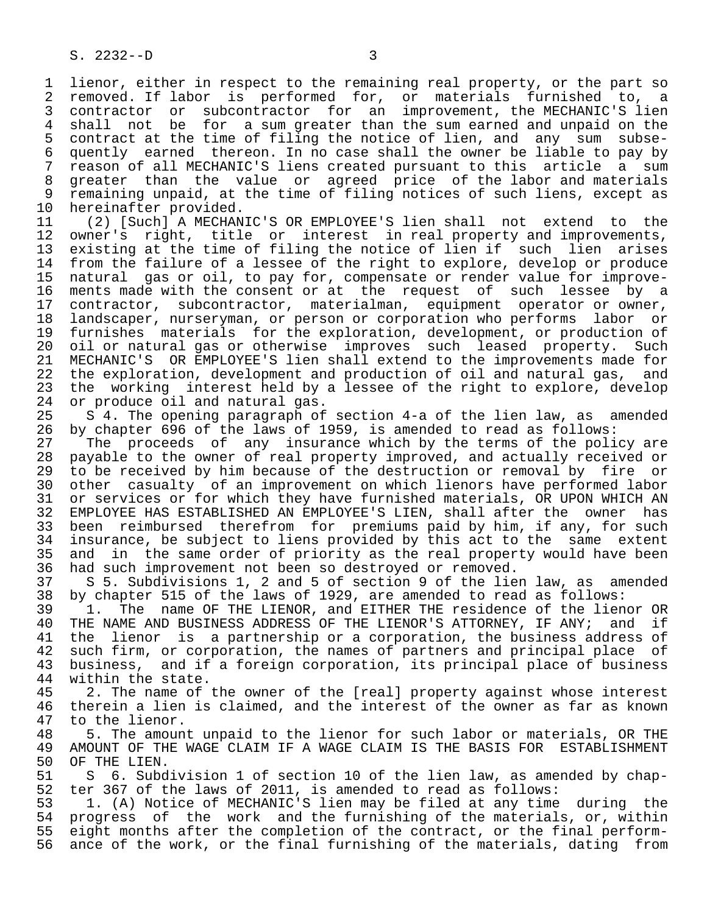1 lienor, either in respect to the remaining real property, or the part so<br>2 removed. If labor is performed for, or materials furnished to, a 2 removed. If labor is performed for, or materials furnished to, a<br>3 contractor or subcontractor for an improvement, the MECHANIC'S lien 3 contractor or subcontractor for an improvement, the MECHANIC'S lien<br>4 shall not be for a sum greater than the sum earned and unpaid on the 4 shall not be for a sum greater than the sum earned and unpaid on the<br>5 contract at the time of filing the notice of lien, and any sum subse- 5 contract at the time of filing the notice of lien, and any sum subse- 6 quently earned thereon. In no case shall the owner be liable to pay by 7 reason of all MECHANIC'S liens created pursuant to this article a sum<br>8 greater than the value or agreed price of the labor and materials 8 greater than the value or agreed price of the labor and materials<br>9 remaining unpaid, at the time of filing notices of such liens, except as 9 remaining unpaid, at the time of filing notices of such liens, except as<br>10 hereinafter provided. 10 hereinafter provided.<br>11 (2) [Such] A MECHAN

11 (2) [Such] A MECHANIC'S OR EMPLOYEE'S lien shall not extend to the<br>12 owner's right, title or interest in real property and improvements, 12 owner's right, title or interest in real property and improvements, 13 existing at the time of filing the notice of lien if such lien arises 14 from the failure of a lessee of the right to explore, develop or produce 15 natural gas or oil, to pay for, compensate or render value for improve- 16 ments made with the consent or at the request of such lessee by a 17 contractor, subcontractor, materialman, equipment operator or owner, 18 landscaper, nurseryman, or person or corporation who performs labor or<br>19 furnishes materials for the exploration, development, or production of 19 furnishes materials for the exploration, development, or production of<br>20 oil or natural gas or otherwise improves such leased property. Such 20 oil or natural gas or otherwise improves such leased property. Such<br>21 MECHANIC'S OR EMPLOYEE'S lien shall extend to the improvements made for 21 MECHANIC'S OR EMPLOYEE'S lien shall extend to the improvements made for<br>22 the exploration, development and production of oil and natural gas, and 22 the exploration, development and production of oil and natural gas, and<br>23 the working interest held by a lessee of the right to explore, develop 23 the working interest held by a lessee of the right to explore, develop  $24$  or produce oil and natural gas. 24 or produce oil and natural gas.<br>25 S 4. The opening paragraph of

 25 S 4. The opening paragraph of section 4-a of the lien law, as amended 26 by chapter 696 of the laws of 1959, is amended to read as follows:

27 The proceeds of any insurance which by the terms of the policy are<br>28 payable to the owner of real property improved, and actually received or 28 payable to the owner of real property improved, and actually received or<br>29 to be received by him because of the destruction or removal by fire or 29 to be received by him because of the destruction or removal by fire or<br>20 other casualty of an improvement on which lienors have performed labor 30 other casualty of an improvement on which lienors have performed labor<br>31 or services or for which they have furnished materials. OR UPON WHICH AN 31 or services or for which they have furnished materials, OR UPON WHICH AN<br>32 EMPLOYEE HAS ESTABLISHED AN EMPLOYEE'S LIEN, shall after the owner has 32 EMPLOYEE HAS ESTABLISHED AN EMPLOYEE'S LIEN, shall after the owner has<br>33 been reimbursed therefrom for premiums paid by him, if any, for such 33 been reimbursed therefrom for premiums paid by him, if any, for such<br>34 insurance, be subject to liens provided by this act to the same extent 34 insurance, be subject to liens provided by this act to the same extent<br>35 and in the same order of priority as the real property would have been 35 and in the same order of priority as the real property would have been<br>36 had such improvement not been so destroyed or removed. had such improvement not been so destroyed or removed.

 37 S 5. Subdivisions 1, 2 and 5 of section 9 of the lien law, as amended 38 by chapter 515 of the laws of 1929, are amended to read as follows:<br>39 1. The name OF THE LIENOR, and EITHER THE residence of the lien

39 1. The name OF THE LIENOR, and EITHER THE residence of the lienor OR<br>40 THE NAME AND BUSINESS ADDRESS OF THE LIENOR'S ATTORNEY, IF ANY; and if 40 THE NAME AND BUSINESS ADDRESS OF THE LIENOR'S ATTORNEY, IF ANY;<br>41 the lienor is a partnership or a corporation, the business ade 41 the lienor is a partnership or a corporation, the business address of<br>42 such firm, or corporation, the names of partners and principal place of 42 such firm, or corporation, the names of partners and principal place of<br>43 business, and if a foreign corporation, its principal place of business 43 business, and if a foreign corporation, its principal place of business<br>44 within the state. 44 within the state.<br>45 2. The name of

45 2. The name of the owner of the [real] property against whose interest<br>46 therein a lien is claimed, and the interest of the owner as far as known 46 therein a lien is claimed, and the interest of the owner as far as known<br>47 to the lienor. 47 to the lienor.<br>48 5. The amoun

 48 5. The amount unpaid to the lienor for such labor or materials, OR THE 49 AMOUNT OF THE WAGE CLAIM IF A WAGE CLAIM IS THE BASIS FOR ESTABLISHMENT<br>50 OF THE LIEN. 50 OF THE LIEN.<br>51 S 6. Subd

51 S 6. Subdivision 1 of section 10 of the lien law, as amended by chap-<br>52 ter 367 of the laws of 2011, is amended to read as follows: 52 ter 367 of the laws of 2011, is amended to read as follows:<br>53 1. (A) Notice of MECHANIC'S lien may be filed at any time

53 1. (A) Notice of MECHANIC'S lien may be filed at any time during the<br>54 progress of the work and the furnishing of the materials, or, within 54 progress of the work and the furnishing of the materials, or, within<br>55 eight months after the completion of the contract, or the final perform-55 eight months after the completion of the contract, or the final perform-<br>56 ance of the work, or the final furnishing of the materials, dating from ance of the work, or the final furnishing of the materials, dating from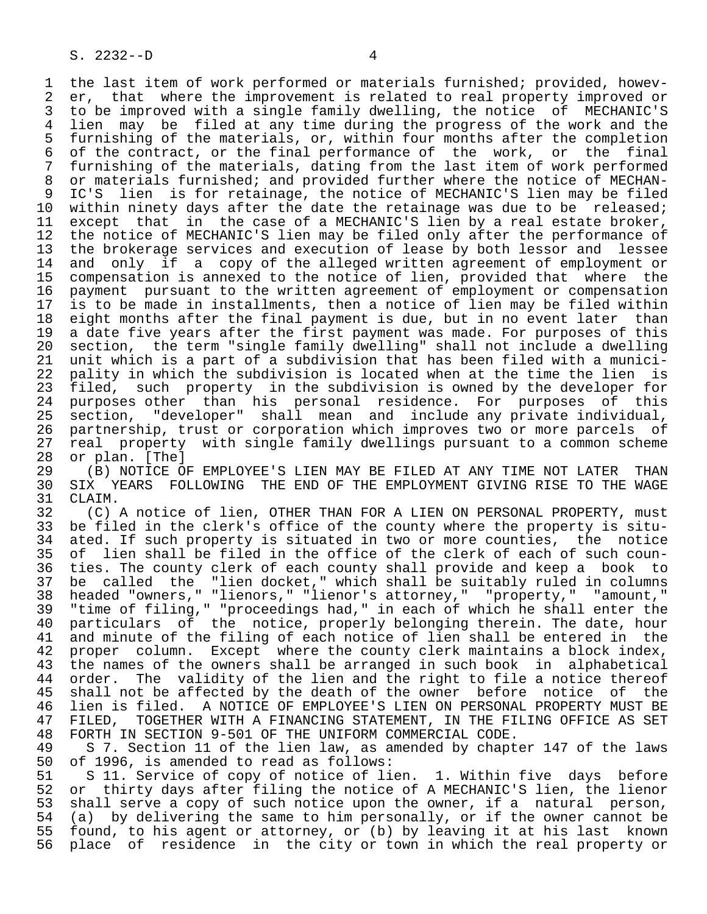1 the last item of work performed or materials furnished; provided, howev-<br>2 er, that where the improvement is related to real property improved or 2 er, that where the improvement is related to real property improved or<br>3 to be improved with a single family dwelling, the notice of MECHANIC'S 3 to be improved with a single family dwelling, the notice of MECHANIC'S<br>4 lien may be filed at any time during the progress of the work and the 4 lien may be filed at any time during the progress of the work and the<br>5 furnishing of the materials, or, within four months after the completion 5 furnishing of the materials, or, within four months after the completion<br>6 of the contract, or the final performance of the work, or the final 6 of the contract, or the final performance of the work, or the final<br>7 furnishing of the materials, dating from the last item of work performed 7 furnishing of the materials, dating from the last item of work performed<br>8 or materials furnished; and provided further where the notice of MECHAN-8 or materials furnished; and provided further where the notice of MECHAN-<br>9 IC'S lien is for retainage, the notice of MECHANIC'S lien may be filed 9 IC'S lien is for retainage, the notice of MECHANIC'S lien may be filed<br>10 within ninety days after the date the retainage was due to be released; 10 within ninety days after the date the retainage was due to be released;<br>11 except that in the case of a MECHANIC'S lien by a real estate broker, 11 except that in the case of a MECHANIC'S lien by a real estate broker,<br>12 the notice of MECHANIC'S lien may be filed only after the performance of 12 the notice of MECHANIC'S lien may be filed only after the performance of<br>13 the brokerage services and execution of lease by both lessor and lessee 13 the brokerage services and execution of lease by both lessor and lessee<br>14 and only if a copy of the alleged written agreement of employment or and only if a copy of the alleged written agreement of employment or 15 compensation is annexed to the notice of lien, provided that where the<br>16 payment pursuant to the written agreement of employment or compensation 16 payment pursuant to the written agreement of employment or compensation<br>17 is to be made in installments, then a notice of lien may be filed within 17 is to be made in installments, then a notice of lien may be filed within<br>18 eight months after the final payment is due, but in no event later than 18 eight months after the final payment is due, but in no event later than<br>19 a date five years after the first payment was made. For purposes of this 19 a date five years after the first payment was made. For purposes of this<br>20 section, the term "single family dwelling" shall not include a dwelling 20 section, the term "single family dwelling" shall not include a dwelling<br>21 unit which is a part of a subdivision that has been filed with a munici-21 unit which is a part of a subdivision that has been filed with a munici-<br>22 pality in which the subdivision is located when at the time the lien is 22 pality in which the subdivision is located when at the time the lien is<br>23 filed, such property in the subdivision is owned by the developer for filed, such property in the subdivision is owned by the developer for 24 purposes other than his personal residence. For purposes of this<br>25 section, "developer" shall mean and include any private individual, section, "developer" shall mean and include any private individual,

26 partnership, trust or corporation which improves two or more parcels of<br>27 real property with single family dwellings pursuant to a common scheme 27 real property with single family dwellings pursuant to a common scheme<br>28 or plan. [The] 28 or plan. [The]<br>29 (B) NOTICE O

29 THE MOTICE OF EMPLOYEE'S LIEN MAY BE FILED AT ANY TIME NOT LATER THAN 20 SIX YEARS FOLLOWING THE END OF THE EMPLOYMENT GIVING RISE TO THE WAGE 30 SIX YEARS FOLLOWING THE END OF THE EMPLOYMENT GIVING RISE TO THE WAGE 31 CLAIM. 31 CLAIM.<br>32 (C)

32 (C) A notice of lien, OTHER THAN FOR A LIEN ON PERSONAL PROPERTY, must<br>33 be filed in the clerk's office of the county where the property is situ-33 be filed in the clerk's office of the county where the property is situ-<br>34 ated. If such property is situated in two or more counties, the notice 34 ated. If such property is situated in two or more counties, the notice<br>35 of lien shall be filed in the office of the clerk of each of such coun-35 of lien shall be filed in the office of the clerk of each of such coun-<br>36 ties. The county clerk of each county shall provide and keep a book to ties. The county clerk of each county shall provide and keep a book to 37 be called the "lien docket," which shall be suitably ruled in columns<br>38 headed "owners," "lienors," "lienor's attorney," "property," "amount," 38 headed "owners," "lienors," "lienor's attorney," "property," "amount,"<br>39 "time of filing," "proceedings had," in each of which he shall enter the 39 "time of filing," "proceedings had," in each of which he shall enter the 40 particulars of the notice, properly belonging therein. The date, hour<br>41 and minute of the filing of each notice of lien shall be entered in the 41 and minute of the filing of each notice of lien shall be entered in the<br>42 proper column. Except where the county clerk maintains a block index, 42 proper column. Except where the county clerk maintains a block index,<br>43 the names of the owners shall be arranged in such book in alphabetical 43 the names of the owners shall be arranged in such book in alphabetical<br>44 order. The validity of the lien and the right to file a notice thereof 44 order. The validity of the lien and the right to file a notice thereof<br>45 shall not be affected by the death of the owner before notice of the shall not be affected by the death of the owner before notice of the 46 lien is filed. A NOTICE OF EMPLOYEE'S LIEN ON PERSONAL PROPERTY MUST BE<br>47 FILED. TOGETHER WITH A FINANCING STATEMENT. IN THE FILING OFFICE AS SET 47 FILED, TOGETHER WITH A FINANCING STATEMENT, IN THE FILING OFFICE AS SET<br>48 FORTH IN SECTION 9-501 OF THE UNIFORM COMMERCIAL CODE. 48 FORTH IN SECTION 9-501 OF THE UNIFORM COMMERCIAL CODE.<br>49 S 7. Section 11 of the lien law, as amended by chapt

49 S 7. Section 11 of the lien law, as amended by chapter 147 of the laws<br>50 of 1996, is amended to read as follows: 50 of 1996, is amended to read as follows:<br>51 S 11. Service of copy of notice of li

51 S 11. Service of copy of notice of lien. 1. Within five days before<br>52 or thirty days after filing the notice of A MECHANIC'S lien, the lienor 52 or thirty days after filing the notice of A MECHANIC'S lien, the lienor<br>53 shall serve a copy of such notice upon the owner, if a natural person, 53 shall serve a copy of such notice upon the owner, if a natural person,<br>54 (a) by delivering the same to him personally, or if the owner cannot be 54 (a) by delivering the same to him personally, or if the owner cannot be<br>55 found, to his agent or attorney, or (b) by leaving it at his last known 55 found, to his agent or attorney, or (b) by leaving it at his last known<br>56 place of residence in the city or town in which the real property or place of residence in the city or town in which the real property or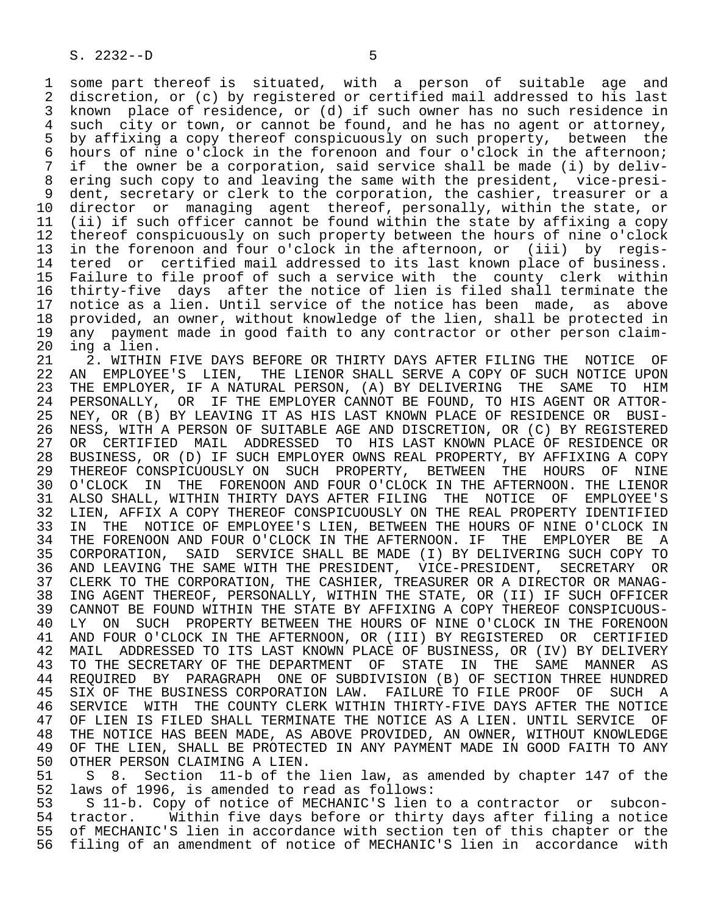1 some part thereof is situated, with a person of suitable age and 2 discretion, or (c) by registered or certified mail addressed to his last 3 known place of residence, or (d) if such owner has no such residence in 4 such city or town, or cannot be found, and he has no agent or attorney,<br>5 by affixing a copy thereof conspicuously on such property, between the 5 by affixing a copy thereof conspicuously on such property, between the<br>6 hours of nine o'clock in the forenoon and four o'clock in the afternoon; 6 hours of nine o'clock in the forenoon and four o'clock in the afternoon;<br>7 if the owner be a corporation, said service shall be made (i) by delivif the owner be a corporation, said service shall be made (i) by deliv- 8 ering such copy to and leaving the same with the president, vice-presi- 9 dent, secretary or clerk to the corporation, the cashier, treasurer or a<br>10 director or managing agent thereof, personally, within the state, or 10 director or managing agent thereof, personally, within the state, or<br>11 (ii) if such officer cannot be found within the state by affixing a copy 11 (ii) if such officer cannot be found within the state by affixing a copy<br>12 thereof conspicuously on such property between the hours of nine o'clock 12 thereof conspicuously on such property between the hours of nine o'clock<br>13 in the forenoon and four o'clock in the afternoon, or (iii) by regis-13 in the forenoon and four o'clock in the afternoon, or (iii) by regis-<br>14 tered or certified mail addressed to its last known place of business. tered or certified mail addressed to its last known place of business. 15 Failure to file proof of such a service with the county clerk within 16 thirty-five days after the notice of lien is filed shall terminate the<br>17 notice as a lien. Until service of the notice has been made, as above 17 notice as a lien. Until service of the notice has been made, as above<br>18 provided, an owner, without knowledge of the lien, shall be protected in 18 provided, an owner, without knowledge of the lien, shall be protected in<br>19 any payment made in good faith to any contractor or other person claim-19 any payment made in good faith to any contractor or other person claim-<br>20 ing a lien.

20 ing a lien.<br>21 2. WITHIN 21 2. WITHIN FIVE DAYS BEFORE OR THIRTY DAYS AFTER FILING THE NOTICE OF<br>22 AN EMPLOYEE'S LIEN, THE LIENOR SHALL SERVE A COPY OF SUCH NOTICE UPON 22 AN EMPLOYEE'S LIEN, THE LIENOR SHALL SERVE A COPY OF SUCH NOTICE UPON<br>23 THE EMPLOYER, IF A NATURAL PERSON, (A) BY DELIVERING THE SAME TO HIM THE EMPLOYER, IF A NATURAL PERSON, (A) BY DELIVERING THE SAME TO HIM 24 PERSONALLY, OR IF THE EMPLOYER CANNOT BE FOUND, TO HIS AGENT OR ATTOR-<br>25 NEY, OR (B) BY LEAVING IT AS HIS LAST KNOWN PLACE OF RESIDENCE OR BUSI- 25 NEY, OR (B) BY LEAVING IT AS HIS LAST KNOWN PLACE OF RESIDENCE OR BUSI- 26 NESS, WITH A PERSON OF SUITABLE AGE AND DISCRETION, OR (C) BY REGISTERED 27 OR CERTIFIED MAIL ADDRESSED TO HIS LAST\_KNOWN\_PLACE\_OF\_RESIDENCE\_OR<br>28 BUSINESS, OR (D) IF\_SUCH\_EMPLOYER\_OWNS\_REAL\_PROPERTY, BY\_AFFIXING\_A\_COPY 28 BUSINESS, OR (D) IF SUCH EMPLOYER OWNS REAL PROPERTY, BY AFFIXING A COPY<br>29 THEREOF CONSPICUOUSLY ON SUCH PROPERTY, BETWEEN THE HOURS OF NINE 29 THEREOF CONSPICUOUSLY ON SUCH PROPERTY, BETWEEN THE HOURS OF NINE<br>30 O'CLOCK IN THE FORENOON AND FOUR O'CLOCK IN THE AFTERNOON. THE LIENOR 30 O'CLOCK IN THE FORENOON AND FOUR O'CLOCK IN THE AFTERNOON. THE LIENOR<br>31 ALSO SHALL, WITHIN THIRTY DAYS AFTER FILING THE NOTICE OF EMPLOYEE'S 31 ALSO SHALL, WITHIN THIRTY DAYS AFTER FILING THE NOTICE OF EMPLOYEE'S<br>32 LIEN, AFFIX A COPY THEREOF CONSPICUOUSLY ON THE REAL PROPERTY IDENTIFIED 32 LIEN, AFFIX A COPY THEREOF CONSPICUOUSLY ON THE REAL PROPERTY IDENTIFIED<br>33 IN THE NOTICE OF EMPLOYEE'S LIEN, BETWEEN THE HOURS OF NINE O'CLOCK IN 33 IN THE NOTICE OF EMPLOYEE'S LIEN, BETWEEN THE HOURS OF NINE O'CLOCK IN<br>34 THE FORENOON AND FOUR O'CLOCK IN THE AFTERNOON. IF THE EMPLOYER BE A 34 THE FORENOON AND FOUR O'CLOCK IN THE AFTERNOON. IF THE EMPLOYER BE A<br>35 CORPORATION, SAID SERVICE SHALL BE MADE (I) BY DELIVERING SUCH COPY TO CORPORATION, SAID SERVICE SHALL BE MADE (I) BY DELIVERING SUCH COPY TO<br>AND LEAVING THE SAME WITH THE PRESIDENT, VICE-PRESIDENT, SECRETARY OR 36 AND LEAVING THE SAME WITH THE PRESIDENT, VICE-PRESIDENT, SECRETARY 37 CLERK TO THE CORPORATION, THE CASHIER, TREASURER OR A DIRECTOR OR MANAG-<br>38 ING AGENT THEREOF, PERSONALLY, WITHIN THE STATE, OR (II) IF SUCH OFFICER 38 ING AGENT THEREOF, PERSONALLY, WITHIN THE STATE, OR (II) IF SUCH OFFICER<br>39 CANNOT BE FOUND WITHIN THE STATE BY AFFIXING A COPY THEREOF CONSPICUOUS-39 CANNOT BE FOUND WITHIN THE STATE BY AFFIXING A COPY THEREOF CONSPICUOUS-<br>40 LY ON SUCH PROPERTY BETWEEN THE HOURS OF NINE O'CLOCK IN THE FORENOON LY ON SUCH PROPERTY BETWEEN THE HOURS OF NINE O'CLOCK IN THE FORENOON 41 AND FOUR O'CLOCK IN THE AFTERNOON, OR (III) BY REGISTERED OR CERTIFIED<br>42 MAIL ADDRESSED TO ITS LAST KNOWN PLACE OF BUSINESS, OR (IV) BY DELIVERY 42 MAIL ADDRESSED TO ITS LAST KNOWN PLACE OF BUSINESS, OR (IV) BY DELIVERY<br>43 TO THE SECRETARY OF THE DEPARTMENT OF STATE IN THE SAME MANNER AS 43 TO THE SECRETARY OF THE DEPARTMENT OF STATE IN THE SAME MANNER AS<br>44 REQUIRED BY PARAGRAPH ONE OF SUBDIVISION (B) OF SECTION THREE HUNDRED 44 REQUIRED BY PARAGRAPH ONE OF SUBDIVISION (B) OF SECTION THREE HUNDRED<br>45 SIX OF THE BUSINESS CORPORATION LAW. FAILURE TO FILE PROOF OF SUCH A SIX OF THE BUSINESS CORPORATION LAW. FAILURE TO FILE PROOF OF SUCH A 46 SERVICE WITH THE COUNTY CLERK WITHIN THIRTY-FIVE DAYS AFTER THE NOTICE<br>47 OF LIEN IS FILED SHALL TERMINATE THE NOTICE AS A LIEN. UNTIL SERVICE OF OF LIEN IS FILED SHALL TERMINATE THE NOTICE AS A LIEN. UNTIL SERVICE OF 48 THE NOTICE HAS BEEN MADE, AS ABOVE PROVIDED, AN OWNER, WITHOUT KNOWLEDGE<br>49 OF THE LIEN, SHALL BE PROTECTED IN ANY PAYMENT MADE IN GOOD FAITH TO ANY 49 OF THE LIEN, SHALL BE PROTECTED IN ANY PAYMENT MADE IN GOOD FAITH TO ANY 1500 OTHER PERSON CLAIMING A LIEN.

50 OTHER PERSON CLAIMING A LIEN.<br>51 S 8. Section 11-b of the 51 S 8. Section 11-b of the lien law, as amended by chapter 147 of the<br>52 laws of 1996, is amended to read as follows: 52 laws of 1996, is amended to read as follows:<br>53 S 11-b. Copy of notice of MECHANIC'S lien

53 S 11-b. Copy of notice of MECHANIC'S lien to a contractor or subcon-<br>54 tractor. Within five days before or thirty days after filing a notice 54 tractor. Within five days before or thirty days after filing a notice<br>55 of MECHANIC'S lien in accordance with section ten of this chapter or the 55 of MECHANIC'S lien in accordance with section ten of this chapter or the<br>56 filing of an amendment of notice of MECHANIC'S lien in accordance with 56 filing of an amendment of notice of MECHANIC'S lien in accordance with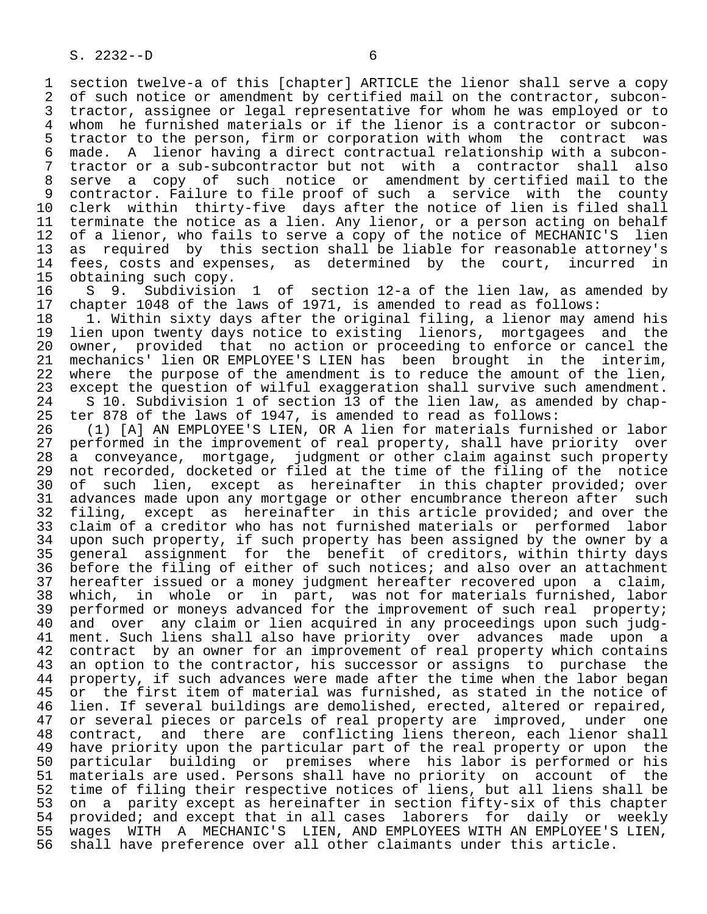1 section twelve-a of this [chapter] ARTICLE the lienor shall serve a copy<br>2 of such notice or amendment by certified mail on the contractor, subcon-2 of such notice or amendment by certified mail on the contractor, subcon-<br>3 tractor, assignee or legal representative for whom he was employed or to 3 tractor, assignee or legal representative for whom he was employed or to<br>4 whom he furnished materials or if the lienor is a contractor or subcon- 4 whom he furnished materials or if the lienor is a contractor or subcon- 5 tractor to the person, firm or corporation with whom the contract was<br>6 made. A lienor having a direct contractual relationship with a subcon- 6 made. A lienor having a direct contractual relationship with a subcon- 7 tractor or a sub-subcontractor but not with a contractor shall also 8 serve a copy of such notice or amendment by certified mail to the<br>9 contractor. Failure to file proof of such a service with the county 9 contractor. Failure to file proof of such a service with the county<br>10 clerk within thirty-five days after the notice of lien is filed shall 10 clerk within thirty-five days after the notice of lien is filed shall<br>11 terminate the notice as a lien. Any lienor, or a person acting on behalf 11 terminate the notice as a lien. Any lienor, or a person acting on behalf<br>12 of a lienor, who fails to serve a copy of the notice of MECHANIC'S lien 12 of a lienor, who fails to serve a copy of the notice of MECHANIC'S lien<br>13 as required by this section shall be liable for reasonable attorney's 13 as required by this section shall be liable for reasonable attorney's<br>14 fees, costs and expenses, as determined by the court, incurred in fees, costs and expenses, as determined by the court, incurred in

15 obtaining such copy.<br>16 S 9. Subdivision 16 S 9. Subdivision 1 of section 12-a of the lien law, as amended by<br>17 chapter 1048 of the laws of 1971, is amended to read as follows: 17 chapter 1048 of the laws of 1971, is amended to read as follows:<br>18 1. Within sixty days after the original filing, a lienor may a

18 1. Within sixty days after the original filing, a lienor may amend his<br>19 lien upon twenty days notice to existing lienors, mortgagees and the 19 lien upon twenty days notice to existing lienors, mortgagees and the<br>20 owner, provided that no action or proceeding to enforce or cancel the 20 owner, provided that no action or proceeding to enforce or cancel the<br>21 mechanics' lien OR EMPLOYEE'S LIEN has been brought in the interim, 21 mechanics' lien OR EMPLOYEE'S LIEN has been brought in the<br>22 where the purpose of the amendment is to reduce the amount of t 22 where the purpose of the amendment is to reduce the amount of the lien,<br>23 except the question of wilful exaggeration shall survive such amendment. 23 except the question of wilful exaggeration shall survive such amendment.<br>24 S 10. Subdivision 1 of section 13 of the lien law, as amended by chap-24 S 10. Subdivision 1 of section 13 of the lien law, as amended by chap-<br>25 ter 878 of the laws of 1947, is amended to read as follows: ter 878 of the laws of 1947, is amended to read as follows:

26 (1) [A] AN EMPLOYEE'S LIEN, OR A lien for materials furnished or labor<br>27 performed in the improvement of real property, shall have priority over 27 performed in the improvement of real property, shall have priority over<br>28 a conveyance, mortgage, judgment or other claim against such property 28 a conveyance, mortgage, judgment or other claim against such property<br>29 not recorded, docketed or filed at the time of the filing of the notice 29 not recorded, docketed or filed at the time of the filing of the notice<br>20 of such lien, except as hereinafter in this chapter provided; over 30 of such lien, except as hereinafter in this chapter provided; over<br>31 advances made upon any mortgage or other encumbrance thereon after such 31 advances made upon any mortgage or other encumbrance thereon after such<br>32 filing, except as hereinafter in this article provided; and over the 32 filing, except as hereinafter in this article provided; and over the<br>33 claim of a creditor who has not furnished materials or performed labor 33 claim of a creditor who has not furnished materials or performed labor<br>34 upon such property, if such property has been assigned by the owner by a 34 upon such property, if such property has been assigned by the owner by a<br>35 general assignment for the benefit of creditors, within thirty days 35 general assignment for the benefit of creditors, within thirty days<br>36 before the filing of either of such notices; and also over an attachment before the filing of either of such notices; and also over an attachment 37 hereafter issued or a money judgment hereafter recovered upon a claim,<br>38 which, in whole or in part, was not for materials furnished, labor 38 which, in whole or in part, was not for materials furnished, labor<br>39 performed or moneys advanced for the improvement of such real property; 39 performed or moneys advanced for the improvement of such real property;<br>40 and over any claim or lien acquired in any proceedings upon such judg-40 and over any claim or lien acquired in any proceedings upon such judg-<br>41 ment. Such liens shall also have priority over advances made upon a 41 ment. Such liens shall also have priority over advances made upon a<br>42 contract by an owner for an improvement of real property which contains 42 contract by an owner for an improvement of real property which contains<br>43 an option to the contractor, his successor or assigns to purchase the 43 an option to the contractor, his successor or assigns to purchase the<br>44 property, if such advances were made after the time when the labor began 44 property, if such advances were made after the time when the labor began<br>45 or the first item of material was furnished, as stated in the notice of or the first item of material was furnished, as stated in the notice of 46 lien. If several buildings are demolished, erected, altered or repaired,<br>47 or several pieces or parcels of real property are improved, under one 47 or several pieces or parcels of real property are improved, under one<br>48 contract, and there are conflicting liens thereon, each lienor shall 48 contract, and there are conflicting liens thereon, each lienor shall<br>49 have priority upon the particular part of the real property or upon the 49 have priority upon the particular part of the real property or upon the<br>50 particular building or premises where his labor is performed or his 50 particular building or premises where his labor is performed or his<br>51 materials are used. Persons shall have no priority on account of the 51 materials are used. Persons shall have no priority on account of the<br>52 time of filing their respective notices of liens, but all liens shall be 52 time of filing their respective notices of liens, but all liens shall be<br>53 on a parity except as hereinafter in section fifty-six of this chapter 53 on a parity except as hereinafter in section fifty-six of this chapter<br>54 provided; and except that in all cases laborers for daily or weekly 54 provided; and except that in all cases laborers for daily or weekly<br>55 wages WITH A MECHANIC'S LIEN, AND EMPLOYEES WITH AN EMPLOYEE'S LIEN, 55 wages WITH A MECHANIC'S LIEN, AND EMPLOYEES WITH AN EMPLOYEE'S LIEN,<br>56 shall have preference over all other claimants under this article. shall have preference over all other claimants under this article.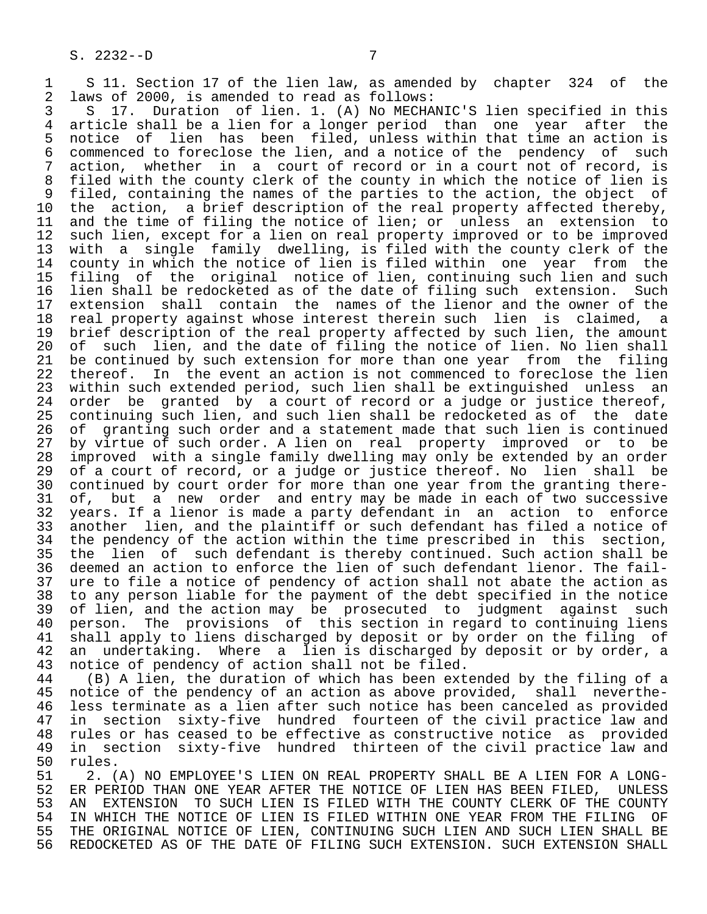1 S 11. Section 17 of the lien law, as amended by chapter 324 of the<br>2 laws of 2000, is amended to read as follows: 2 laws of 2000, is amended to read as follows:<br>3 S 17. Duration of lien. 1. (A) No MECHA

 3 S 17. Duration of lien. 1. (A) No MECHANIC'S lien specified in this 4 article shall be a lien for a longer period than one year after the 5 notice of lien has been filed, unless within that time an action is<br>6 commenced to foreclose the lien, and a notice of the pendency of such 6 commenced to foreclose the lien, and a notice of the pendency of such<br>7 action, whether in a court of record or in a court not of record, is 7 action, whether in a court of record or in a court not of record, is<br>8 filed with the county clerk of the county in which the notice of lien is 8 filed with the county clerk of the county in which the notice of lien is<br>9 filed, containing the names of the parties to the action, the object of 9 filed, containing the names of the parties to the action, the object of<br>10 the action, a brief description of the real property affected thereby, 10 the action, a brief description of the real property affected thereby,<br>11 and the time of filing the notice of lien; or unless an extension to 11 and the time of filing the notice of lien; or unless an extension to<br>12 such lien, except for a lien on real property improved or to be improved 12 such lien, except for a lien on real property improved or to be improved<br>13 with a single family dwelling, is filed with the county clerk of the 13 with a single family dwelling, is filed with the county clerk of the county in which the notice of lien is filed within one year from the 15 filing of the original notice of lien, continuing such lien and such 16 lien shall be redocketed as of the date of filing such extension. Such<br>17 extension shall contain the names of the lienor and the owner of the 17 extension shall contain the names of the lienor and the owner of the<br>18 real property against whose interest therein such lien is claimed, a 18 real property against whose interest therein such lien is claimed, a<br>19 brief description of the real property affected by such lien, the amount 19 brief description of the real property affected by such lien, the amount<br>20 of such lien, and the date of filing the notice of lien. No lien shall 20 of such lien, and the date of filing the notice of lien. No lien shall<br>21 be continued by such extension for more than one year from the filing 21 be continued by such extension for more than one year from the filing<br>22 thereof. In the event an action is not commenced to foreclose the lien 22 thereof. In the event an action is not commenced to foreclose the lien<br>23 within such extended period, such lien shall be extinguished unless an 23 within such extended period, such lien shall be extinguished unless an<br>24 order be granted by a court of record or a judge or justice thereof, 24 order be granted by a court of record or a judge or justice thereof,<br>25 continuing such lien, and such lien shall be redocketed as of the date 25 continuing such lien, and such lien shall be redocketed as of the date 26 of granting such order and a statement made that such lien is continued<br>27 by virtue of such order. A lien on real property improved or to be 27 by virtue of such order. A lien on real property improved or to be<br>28 improved with a single family dwelling may only be extended by an order 28 improved with a single family dwelling may only be extended by an order<br>29 of a court of record, or a judge or justice thereof. No lien shall be 29 of a court of record, or a judge or justice thereof. No lien shall be<br>30 continued by court order for more than one year from the granting there-30 continued by court order for more than one year from the granting there-<br>31 of, but a new order and entry may be made in each of two successive 31 of, but a new order and entry may be made in each of two successive<br>32 years. If a lienor is made a party defendant in an action to enforce 32 years. If a lienor is made a party defendant in an action to enforce<br>33 another lien, and the plaintiff or such defendant has filed a notice of 33 another lien, and the plaintiff or such defendant has filed a notice of<br>34 the pendency of the action within the time prescribed in this section, 34 the pendency of the action within the time prescribed in this section,<br>35 the lien of such defendant is thereby continued. Such action shall be 35 the lien of such defendant is thereby continued. Such action shall be<br>36 deemed an action to enforce the lien of such defendant lienor. The faildeemed an action to enforce the lien of such defendant lienor. The fail-37 ure to file a notice of pendency of action shall not abate the action as<br>38 to any person liable for the payment of the debt specified in the notice 38 to any person liable for the payment of the debt specified in the notice<br>39 of lien, and the action may be prosecuted to judgment against such 39 of lien, and the action may be prosecuted to judgment against such<br>40 person. The provisions of this section in regard to continuing liens 40 person. The provisions of this section in regard to continuing liens<br>41 shall apply to liens discharged by deposit or by order on the filing of 41 shall apply to liens discharged by deposit or by order on the filing of<br>42 an undertaking. Where a lien is discharged by deposit or by order, a 42 an undertaking. Where a lien is discharged by deposit or by order, a<br>43 notice of pendency of action shall not be filed.

43 notice of pendency of action shall not be filed.<br>44 (B) A lien, the duration of which has been ext 44 (B) A lien, the duration of which has been extended by the filing of a<br>45 notice of the pendency of an action as above provided, shall neverthe- 45 notice of the pendency of an action as above provided, shall neverthe- 46 less terminate as a lien after such notice has been canceled as provided<br>47 in section sixty-five hundred fourteen of the civil practice law and in section sixty-five hundred fourteen of the civil practice law and 48 rules or has ceased to be effective as constructive notice as provided<br>49 in section sixty-five hundred thirteen of the civil practice law and 49 in section sixty-five hundred thirteen of the civil practice law and<br>50 rules. 50 rules.<br>51 2. (

51 51 2. (A) NO EMPLOYEE'S LIEN ON REAL PROPERTY SHALL BE A LIEN FOR A LONG-<br>52 ER PERIOD THAN ONE YEAR AFTER THE NOTICE OF LIEN HAS BEEN FILED. UNLESS 52 ER PERIOD THAN ONE YEAR AFTER THE NOTICE OF LIEN HAS BEEN FILED, UNLESS<br>53 AN EXTENSION TO SUCH LIEN IS FILED WITH THE COUNTY CLERK OF THE COUNTY 53 AN EXTENSION TO SUCH LIEN IS FILED WITH THE COUNTY CLERK OF THE COUNTY<br>54 IN WHICH THE NOTICE OF LIEN IS FILED WITHIN ONE YEAR FROM THE FILING OF 54 IN WHICH THE NOTICE OF LIEN IS FILED WITHIN ONE YEAR FROM THE FILING OF<br>55 THE ORIGINAL NOTICE OF LIEN, CONTINUING SUCH LIEN AND SUCH LIEN SHALL BE 55 THE ORIGINAL NOTICE OF LIEN, CONTINUING SUCH LIEN AND SUCH LIEN SHALL BE<br>56 REDOCKETED AS OF THE DATE OF FILING SUCH EXTENSION. SUCH EXTENSION SHALL REDOCKETED AS OF THE DATE OF FILING SUCH EXTENSION. SUCH EXTENSION SHALL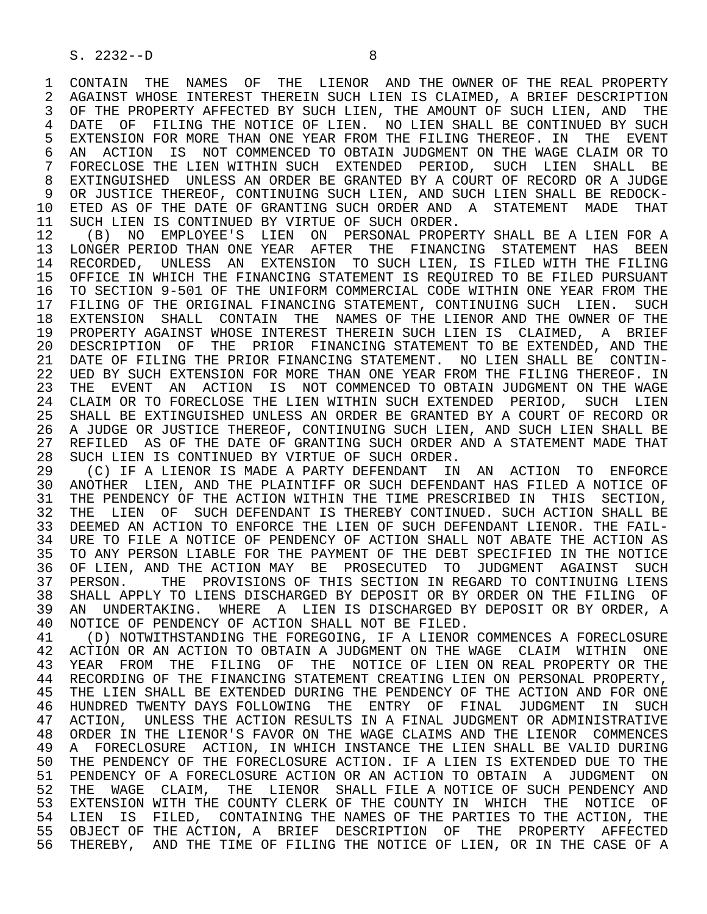1 CONTAIN THE NAMES OF THE LIENOR AND THE OWNER OF THE REAL PROPERTY<br>2 AGAINST WHOSE INTEREST THEREIN SUCH LIEN IS CLAIMED, A BRIEF DESCRIPTION 2 AGAINST WHOSE INTEREST THEREIN SUCH LIEN IS CLAIMED, A BRIEF DESCRIPTION<br>3 OF THE PROPERTY AFFECTED BY SUCH LIEN, THE AMOUNT OF SUCH LIEN, AND THE OF THE PROPERTY AFFECTED BY SUCH LIEN, THE AMOUNT OF SUCH LIEN, AND THE 4 DATE OF FILING THE NOTICE OF LIEN. NO LIEN SHALL BE CONTINUED BY SUCH<br>5 EXTENSION FOR MORE THAN ONE YEAR FROM THE FILING THEREOF. IN THE EVENT 5 EXTENSION FOR MORE THAN ONE YEAR FROM THE FILING THEREOF. IN THE EVENT<br>6 AN ACTION IS NOT COMMENCED TO OBTAIN JUDGMENT ON THE WAGE CLAIM OR TO 6 AN ACTION IS NOT COMMENCED TO OBTAIN JUDGMENT ON THE WAGE CLAIM OR TO 6 AN ACTION IS NOT COMMENCED TO OBTAIN ON THE WAGE CLAIM OR TO 7 FORECLOSE THE LIEN WITHIN SUCH EXTENDED PERIOD, SUCH LIEN SHALL BE 7 THE LIEN SHALL BE 8 EXTINGUISHED UNLESS AN ORDER BE GRANTED BY A COURT OF RECORD OR A JUDGE<br>9 OR JUSTICE THEREOF, CONTINUING SUCH LIEN, AND SUCH LIEN SHALL BE REDOCK-9 OR JUSTICE THEREOF, CONTINUING SUCH LIEN, AND SUCH LIEN SHALL BE REDOCK-<br>10 ETED AS OF THE DATE OF GRANTING SUCH ORDER AND A STATEMENT MADE THAT 10 ETED AS OF THE DATE OF GRANTING SUCH ORDER AND A STATEMENT MADE THAT 11 SUCH LIEN IS CONTINUED BY VIRTUE OF SUCH ORDER. 11 SUCH LIEN IS CONTINUED BY VIRTUE OF SUCH ORDER.<br>12 (B) NO EMPLOYEE'S LIEN ON PERSONAL PROPEI

12 (B) NO EMPLOYEE'S LIEN ON PERSONAL PROPERTY SHALL BE A LIEN FOR A<br>13 LONGER PERIOD THAN ONE YEAR AFTER THE FINANCING STATEMENT HAS BEEN 13 LONGER PERIOD THAN ONE YEAR AFTER THE FINANCING STATEMENT HAS BEEN<br>14 RECORDED, UNLESS AN EXTENSION TO SUCH-LIEN, IS FILED-WITH-THE FILING RECORDED, UNLESS AN EXTENSION TO SUCH LIEN, IS FILED WITH THE FILING 15 OFFICE IN WHICH THE FINANCING STATEMENT IS REQUIRED TO BE FILED PURSUANT<br>16 TO SECTION 9-501 OF THE UNIFORM COMMERCIAL CODE WITHIN ONE YEAR FROM THE 16 TO SECTION 9-501 OF THE UNIFORM COMMERCIAL CODE WITHIN ONE YEAR FROM THE 17 FILING OF THE ORIGINAL FINANCING STATEMENT. CONTINUING SUCH LIEN. SUCH FILING OF THE ORIGINAL FINANCING STATEMENT, CONTINUING SUCH LIEN. SUCH 18 EXTENSION SHALL CONTAIN THE NAMES OF THE LIENOR AND THE OWNER OF THE 19 PROPERTY AGAINST WHOSE INTEREST THEREIN SUCH LIEN IS CLAIMED, A BRIEF 20 DESCRIPTION OF THE PRIOR FINANCING STATEMENT TO BE EXTENDED, AND THE 21 DATE OF FILING THE PRIOR FINANCING STATEMENT. NO LIEN SHALL BE CONTIN-21 DATE OF FILING THE PRIOR FINANCING STATEMENT. NO LIEN SHALL BE CONTIN-<br>22 UED BY SUCH EXTENSION FOR MORE THAN ONE YEAR FROM THE FILING THEREOF. IN 22 UED BY SUCH EXTENSION FOR MORE THAN ONE YEAR FROM THE FILING THEREOF. IN<br>23 THE EVENT AN ACTION IS NOT COMMENCED TO OBTAIN JUDGMENT ON THE WAGE THE EVENT AN ACTION IS NOT COMMENCED TO OBTAIN JUDGMENT ON THE WAGE 24 CLAIM OR TO FORECLOSE THE LIEN WITHIN SUCH EXTENDED PERIOD, SUCH LIEN<br>25 SHALL BE EXTINGUISHED UNLESS AN ORDER BE GRANTED BY A COURT OF RECORD OR 25 SHALL BE EXTINGUISHED UNLESS AN ORDER BE GRANTED BY A COURT OF RECORD OR 26 A JUDGE OR JUSTICE THEREOF, CONTINUING SUCH LIEN, AND SUCH LIEN SHALL BE<br>27 REFILED AS OF THE DATE OF GRANTING SUCH ORDER AND A STATEMENT MADE THAT 27 REFILED AS OF THE DATE OF GRANTING SUCH ORDER AND A STATEMENT MADE THAT<br>28 SUCH LIEN IS CONTINUED BY VIRTUE OF SUCH ORDER. 28 SUCH LIEN IS CONTINUED BY VIRTUE OF SUCH ORDER.<br>29 (C) IF A LIENOR IS MADE A PARTY DEFENDANT IN

29 (C) IF A LIENOR IS MADE A PARTY DEFENDANT IN AN ACTION TO ENFORCE<br>30 ANOTHER LIEN, AND THE PLAINTIFF OR SUCH DEFENDANT HAS FILED A NOTICE OF 30 ANOTHER LIEN, AND THE PLAINTIFF OR SUCH DEFENDANT HAS FILED A NOTICE OF<br>31 THE PENDENCY OF THE ACTION WITHIN THE TIME PRESCRIBED IN THIS SECTION. 31 THE PENDENCY OF THE ACTION WITHIN THE TIME PRESCRIBED IN THIS SECTION,<br>32 THE LIEN OF SUCH DEFENDANT IS THEREBY CONTINUED. SUCH ACTION SHALL BE 32 THE LIEN OF SUCH DEFENDANT IS THEREBY CONTINUED. SUCH ACTION SHALL BE<br>33 DEEMED AN ACTION TO ENFORCE THE LIEN OF SUCH DEFENDANT LIENOR. THE FAIL-DEEMED AN ACTION TO ENFORCE THE LIEN OF SUCH DEFENDANT LIENOR. THE FAIL-34 URE TO FILE A NOTICE OF PENDENCY OF ACTION SHALL NOT ABATE THE ACTION AS<br>35 TO ANY PERSON LIABLE FOR THE PAYMENT OF THE DEBT SPECIFIED IN THE NOTICE 35 TO ANY PERSON LIABLE FOR THE PAYMENT OF THE DEBT SPECIFIED IN THE NOTICE 36 OF LIEN, AND THE ACTION MAY BE PROSECUTED TO JUDGMENT AGAINST SUCH<br>37 PERSON. THE PROVISIONS OF THIS SECTION IN REGARD TO CONTINUING LIENS 37 PERSON. THE PROVISIONS OF THIS SECTION IN REGARD TO CONTINUING LIENS<br>38 SHALL APPLY TO LIENS DISCHARGED BY DEPOSIT OR BY ORDER ON THE FILING OF 38 SHALL APPLY TO LIENS DISCHARGED BY DEPOSIT OR BY ORDER ON THE FILING OF<br>39 AN UNDERTAKING. WHERE A LIEN IS DISCHARGED BY DEPOSIT OR BY ORDER, A 39 AN UNDERTAKING. WHERE A LIEN IS DISCHARGED BY DEPOSIT OR BY ORDER, A<br>40 NOTICE OF PENDENCY OF ACTION SHALL NOT BE FILED. 40 NOTICE OF PENDENCY OF ACTION SHALL NOT BE FILED.<br>41 (D) NOTWITHSTANDING THE FOREGOING, IF A LIENOR

41 (D) NOTWITHSTANDING THE FOREGOING, IF A LIENOR COMMENCES A FORECLOSURE<br>42 ACTION OR AN ACTION TO OBTAIN A JUDGMENT ON THE WAGE CLAIM WITHIN ONE 42 ACTION OR AN ACTION TO OBTAIN A JUDGMENT ON THE WAGE CLAIM WITHIN ONE 43 YEAR FROM THE FILING OF THE NOTICE OF LIEN ON REAL PROPERTY OR THE 43 YEAR FROM THE FILING OF THE NOTICE OF LIEN ON REAL PROPERTY OR THE FINANCING OF THE TORDER STATEMENT CREATING LIEN ON PERSONAL PROPERTY. 44 RECORDING OF THE FINANCING STATEMENT CREATING LIEN ON PERSONAL PROPERTY,<br>45 THE LIEN SHALL BE EXTENDED DURING THE PENDENCY OF THE ACTION AND FOR ONE THE LIEN SHALL BE EXTENDED DURING THE PENDENCY OF THE ACTION AND FOR ONE 46 HUNDRED TWENTY DAYS FOLLOWING THE ENTRY OF FINAL JUDGMENT IN SUCH<br>47 ACTION, UNLESS THE ACTION RESULTS IN A FINAL JUDGMENT OR ADMINISTRATIVE 47 ACTION, UNLESS THE ACTION RESULTS IN A FINAL JUDGMENT OR ADMINISTRATIVE<br>48 ORDER IN THE LIENOR'S FAVOR ON THE WAGE CLAIMS AND THE LIENOR COMMENCES 48 ORDER IN THE LIENOR'S FAVOR ON THE WAGE CLAIMS AND THE LIENOR COMMENCES<br>49 A FORECLOSURE ACTION, IN WHICH INSTANCE THE LIEN SHALL BE VALID DURING 49 A FORECLOSURE ACTION, IN WHICH INSTANCE THE LIEN SHALL BE VALID DURING<br>50 THE PENDENCY OF THE FORECLOSURE ACTION. IF A LIEN IS EXTENDED DUE TO THE 50 THE PENDENCY OF THE FORECLOSURE ACTION. IF A LIEN IS EXTENDED DUE TO THE 51 PENDENCY OF A FORECLOSURE ACTION OR AN ACTION TO OBTAIN A JUDGMENT ON 51 PENDENCY OF A FORECLOSURE ACTION OR AN ACTION TO OBTAIN A JUDGMENT ON<br>52 THE WAGE CLAIM, THE LIENOR SHALL FILE A NOTICE OF SUCH PENDENCY AND THE WAGE CLAIM, THE LIENOR SHALL FILE A NOTICE OF SUCH PENDENCY AND 53 EXTENSION WITH THE COUNTY CLERK OF THE COUNTY IN WHICH THE NOTICE OF 54 LIEN IS FILED, CONTAINING THE NAMES OF THE PARTIES TO THE ACTION, THE 55 OBJECT OF THE ACTION, A BRIEF DESCRIPTION OF THE PROPERTY AFFECTED<br>56 THEREBY, AND THE TIME OF FILING THE NOTICE OF LIEN, OR IN THE CASE OF A THEREBY, AND THE TIME OF FILING THE NOTICE OF LIEN, OR IN THE CASE OF A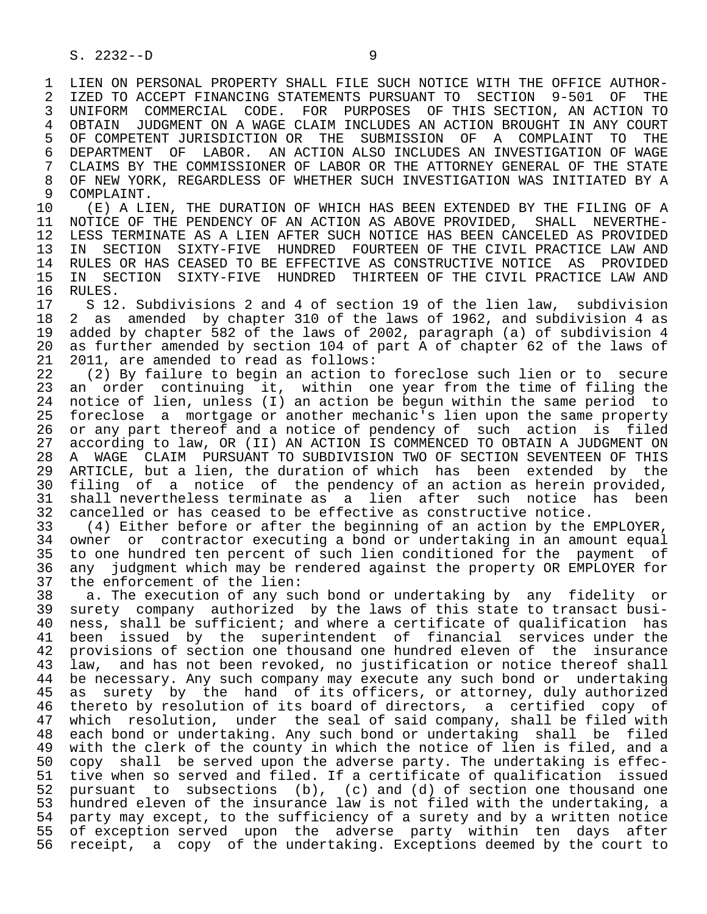1 LIEN ON PERSONAL PROPERTY SHALL FILE SUCH NOTICE WITH THE OFFICE AUTHOR-<br>2 IZED TO ACCEPT FINANCING STATEMENTS PURSUANT TO SECTION 9-501 OF THE 2 IZED TO ACCEPT FINANCING STATEMENTS PURSUANT TO SECTION 9-501 OF THE<br>3 UNIFORM COMMERCIAL CODE. FOR PURPOSES OF THIS SECTION, AN ACTION TO 3 UNIFORM COMMERCIAL CODE. FOR PURPOSES OF THIS SECTION, AN ACTION TO 4 OBTAIN JUDGMENT ON A WAGE CLAIM INCLUDES AN ACTION BROUGHT IN ANY COURT<br>5 OF COMPETENT JURISDICTION OR THE SUBMISSION OF A COMPLAINT TO THE 5 OF COMPETENT JURISDICTION OR THE SUBMISSION OF A COMPLAINT TO THE<br>6 DEPARTMENT OF LABOR. AN ACTION ALSO INCLUDES AN INVESTIGATION OF WAGE 6 DEPARTMENT OF LABOR. AN ACTION ALSO INCLUDES AN INVESTIGATION OF WAGE<br>7 CLAIMS BY THE COMMISSIONER OF LABOR OR THE ATTORNEY GENERAL OF THE STATE 7 CLAIMS BY THE COMMISSIONER OF LABOR OR THE ATTORNEY GENERAL OF THE STATE<br>8 OF NEW YORK, REGARDLESS OF WHETHER SUCH INVESTIGATION WAS INITIATED BY A 8 OF NEW YORK, REGARDLESS OF WHETHER SUCH INVESTIGATION WAS INITIATED BY A COMPLAINT.

9 COMPLAINT.<br>10 (E) A LI 10 (E) A LIEN, THE DURATION OF WHICH HAS BEEN EXTENDED BY THE FILING OF A 11 NOTICE OF THE PENDENCY OF AN ACTION AS ABOVE PROVIDED, SHALL NEVERTHE-11 NOTICE OF THE PENDENCY OF AN ACTION AS ABOVE PROVIDED,<br>12 LESS TERMINATE AS A LIEN AFTER SUCH NOTICE HAS BEEN CAN 12 LESS TERMINATE AS A LIEN AFTER SUCH NOTICE HAS BEEN CANCELED AS PROVIDED<br>13 IN SECTION SIXTY-FIVE HUNDRED FOURTEEN OF THE CIVIL PRACTICE LAW AND 13 IN SECTION SIXTY-FIVE HUNDRED FOURTEEN OF THE CIVIL PRACTICE LAW AND<br>14 RULES OR HAS CEASED TO BE EFFECTIVE AS CONSTRUCTIVE NOTICE AS PROVIDED 14 RULES OR HAS CEASED TO BE EFFECTIVE AS CONSTRUCTIVE NOTICE AS PROVIDED<br>15 IN SECTION SIXTY-FIVE HUNDRED THIRTEEN OF THE CIVIL PRACTICE LAW AND 15 IN SECTION SIXTY-FIVE HUNDRED THIRTEEN OF THE CIVIL PRACTICE LAW AND 16 RULES.<br>17 S 12

17 S 12. Subdivisions 2 and 4 of section 19 of the lien law, subdivision<br>18 2 as amended by chapter 310 of the laws of 1962, and subdivision 4 as 18 2 as amended by chapter 310 of the laws of 1962, and subdivision 4 as<br>19 added by chapter 582 of the laws of 2002, paragraph (a) of subdivision 4 19 added by chapter 582 of the laws of 2002, paragraph (a) of subdivision 4 20 as further amended by section 104 of part A of chapter 62 of the laws of 21 2011, are amended to read as follows: 21 2011, are amended to read as follows:<br>22 (2) By failure to begin an action to

22 (2) By failure to begin an action to foreclose such lien or to secure<br>23 an order continuing it, within one year from the time of filing the an order continuing it, within one year from the time of filing the 24 notice of lien, unless (I) an action be begun within the same period to<br>25 foreclose a mortgage or another mechanic's lien upon the same property 25 foreclose a mortgage or another mechanic's lien upon the same property 26 or any part thereof and a notice of pendency of such action is filed<br>27 according to law, OR (II) AN ACTION IS COMMENCED TO OBTAIN A JUDGMENT ON 27 according to law, OR (II) AN ACTION IS COMMENCED TO OBTAIN A JUDGMENT ON 28 A WAGE CLAIM PURSUANT TO SUBDIVISION TWO OF SECTION SEVENTEEN OF THIS 28 A WAGE CLAIM PURSUANT TO SUBDIVISION TWO OF SECTION SEVENTEEN OF THIS<br>29 ARTICLE, but a lien, the duration of which has been extended by the 29 ARTICLE, but a lien, the duration of which has been extended by the<br>30 filing of a notice of the pendency of an action as herein provided. 30 filing of a notice of the pendency of an action as herein provided,<br>31 shall nevertheless terminate as a lien after such notice has been 31 shall nevertheless terminate as a lien after such notice has been<br>32 cancelled or has ceased to be effective as constructive notice. 32 cancelled or has ceased to be effective as constructive notice.<br>33 (4) Either before or after the beginning of an action by the

 33 (4) Either before or after the beginning of an action by the EMPLOYER, 34 owner or contractor executing a bond or undertaking in an amount equal<br>35 to one hundred ten percent of such lien conditioned for the payment of 35 to one hundred ten percent of such lien conditioned for the payment of<br>36 any judgment which may be rendered against the property OR EMPLOYER for any judgment which may be rendered against the property OR EMPLOYER for 37 the enforcement of the lien:<br>38 a. The execution of any su

38 a. The execution of any such bond or undertaking by any fidelity or<br>39 surety company authorized by the laws of this state to transact busi-39 surety company authorized by the laws of this state to transact busi-<br>40 ness, shall be sufficient; and where a certificate of qualification has 40 ness, shall be sufficient; and where a certificate of qualification has<br>41 been issued by the superintendent of financial services under the 41 been issued by the superintendent of financial services under the<br>42 provisions of section one thousand one hundred eleven of the insurance 42 provisions of section one thousand one hundred eleven of the insurance<br>43 law, and has not been revoked, no justification or notice thereof shall 43 law, and has not been revoked, no justification or notice thereof shall<br>44 be necessary, Any such company may execute any such bond or undertaking 44 be necessary. Any such company may execute any such bond or undertaking<br>45 as surety by the hand of its officers, or attorney, duly authorized as surety by the hand of its officers, or attorney, duly authorized 46 thereto by resolution of its board of directors, a certified copy of<br>47 which resolution, under the seal of said company, shall be filed with which resolution, under the seal of said company, shall be filed with 48 each bond or undertaking. Any such bond or undertaking shall be filed 49 with the clerk of the county in which the notice of lien is filed, and a<br>50 copy shall be served upon the adverse party. The undertaking is effec-50 copy shall be served upon the adverse party. The undertaking is effec-<br>51 tive when so served and filed. If a certificate of qualification issued 51 tive when so served and filed. If a certificate of qualification issued 52 pursuant to subsections (b), (c) and (d) of section one thousand one 53 hundred eleven of the insurance law is not filed with the undertaking, a 54 party may except, to the sufficiency of a surety and by a written notice 55 of exception served upon the adverse party within ten days after 56 receipt, a copy of the undertaking. Exceptions deemed by the court to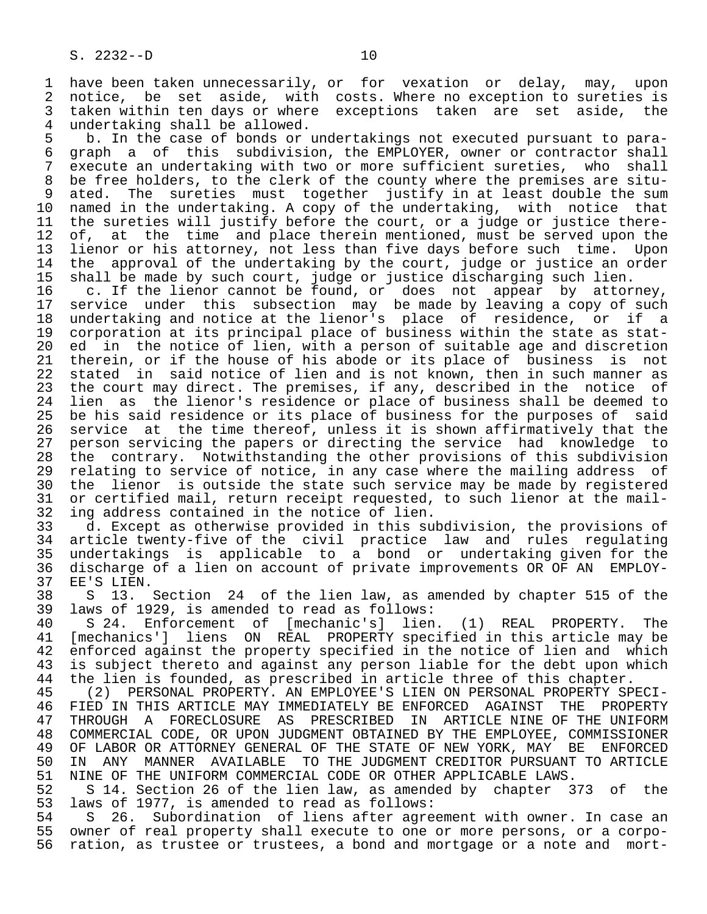1 have been taken unnecessarily, or for vexation or delay, may, upon<br>2 notice, be set aside, with costs. Where no exception to sureties is 2 notice, be set aside, with costs. Where no exception to sureties is<br>3 taken within ten days or where exceptions taken are set aside, the 3 taken within ten days or where exceptions taken are set aside, the<br>4 undertaking shall be allowed.

4 undertaking shall be allowed.<br>5 b. In the case of bonds or 5 b. In the case of bonds or undertakings not executed pursuant to para-<br>6 graph a of this subdivision, the EMPLOYER, owner or contractor shall 6 graph a of this subdivision, the EMPLOYER, owner or contractor shall<br>7 execute an undertaking with two or more sufficient sureties, who shall 7 execute an undertaking with two or more sufficient sureties, who shall 8 be free holders, to the clerk of the county where the premises are situ- 9 ated. The sureties must together justify in at least double the sum<br>10 named in the undertaking. A copy of the undertaking, with notice that 10 named in the undertaking. A copy of the undertaking, with notice that<br>11 the sureties will justify before the court, or a judge or justice there-11 the sureties will justify before the court, or a judge or justice there-<br>12 of, at the time and place therein mentioned, must be served upon the 12 of, at the time and place therein mentioned, must be served upon the<br>13 lienor or his attorney, not less than five days before such time. Upon 13 lienor or his attorney, not less than five days before such time. Upon<br>14 the approval of the undertaking by the court, judge or justice an order the approval of the undertaking by the court, judge or justice an order 15 shall be made by such court, judge or justice discharging such lien.<br>16 c. If the lienor cannot be found, or does not appear by attor

 16 c. If the lienor cannot be found, or does not appear by attorney, 17 service under this subsection may be made by leaving a copy of such 18 undertaking and notice at the lienor's place of residence, or if a<br>19 corporation at its principal place of business within the state as stat-19 corporation at its principal place of business within the state as stat-<br>20 ed in the notice of lien, with a person of suitable age and discretion 20 ed in the notice of lien, with a person of suitable age and discretion<br>21 therein, or if the house of his abode or its place of business is not 21 therein, or if the house of his abode or its place of business is not<br>22 stated in said notice of lien and is not known, then in such manner as 22 stated in said notice of lien and is not known, then in such manner as<br>23 the court may direct. The premises, if any, described in the notice of the court may direct. The premises, if any, described in the notice of 24 lien as the lienor's residence or place of business shall be deemed to<br>25 be his said residence or its place of business for the purposes of said be his said residence or its place of business for the purposes of said 26 service at the time thereof, unless it is shown affirmatively that the<br>27 person servicing the papers or directing the service had knowledge to 27 person servicing the papers or directing the service had knowledge to<br>28 the contrary. Notwithstanding the other provisions of this subdivision 28 the contrary. Notwithstanding the other provisions of this subdivision<br>29 relating to service of notice, in any case where the mailing address of 29 relating to service of notice, in any case where the mailing address of<br>20 the lienor is outside the state such service may be made by registered 30 the lienor is outside the state such service may be made by registered<br>31 or certified mail, return receipt requested, to such lienor at the mail-31 or certified mail, return receipt requested, to such lienor at the mail-<br>32 ing address contained in the notice of lien. 32 ing address contained in the notice of lien.<br>33 d. Except as otherwise provided in this su

33 d. Except as otherwise provided in this subdivision, the provisions of<br>34 article twenty-five of the civil practice law and rules regulating 34 article twenty-five of the civil practice law and rules regulating 35 undertakings is applicable to a bond or undertaking given for the<br>36 discharge of a lien on account of private improvements OR OF AN EMPLOYdischarge of a lien on account of private improvements OR OF AN EMPLOY-37 EE'S LIEN.<br>38 S 13.

38 S 13. Section 24 of the lien law, as amended by chapter 515 of the 39 laws of 1929, is amended to read as follows: 39 laws of 1929, is amended to read as follows:<br>40 S 24. Enforcement of [mechanic's] lien

40 S 24. Enforcement of [mechanic's] lien. (1) REAL PROPERTY. The<br>41 [mechanics'] liens ON REAL PROPERTY specified in this article may be 41 [mechanics'] liens ON REAL PROPERTY specified in this article may be<br>42 enforced against the property specified in the notice of lien and which 42 enforced against the property specified in the notice of lien and which<br>43 is subject thereto and against any person liable for the debt upon which 43 is subject thereto and against any person liable for the debt upon which<br>44 the lien is founded, as prescribed in article three of this chapter. 44 the lien is founded, as prescribed in article three of this chapter.<br>45 (2) PERSONAL PROPERTY. AN EMPLOYEE'S LIEN ON PERSONAL PROPERTY SP

 45 (2) PERSONAL PROPERTY. AN EMPLOYEE'S LIEN ON PERSONAL PROPERTY SPECI- 46 FIED IN THIS ARTICLE MAY IMMEDIATELY BE ENFORCED AGAINST THE PROPERTY<br>47 THROUGH A FORECLOSURE AS PRESCRIBED IN ARTICLE NINE OF THE UNIFORM 47 THROUGH A FORECLOSURE AS PRESCRIBED IN ARTICLE NINE OF THE UNIFORM 48 COMMERCIAL CODE, OR UPON JUDGMENT OBTAINED BY THE EMPLOYEE, COMMISSIONER 49 OF LABOR OR ATTORNEY GENERAL OF THE STATE OF NEW YORK, MAY BE ENFORCED<br>50 IN ANY MANNER AVAILABLE TO THE JUDGMENT CREDITOR PURSUANT TO ARTICLE 50 IN ANY MANNER AVAILABLE TO THE JUDGMENT CREDITOR PURSUANT TO ARTICLE<br>51 NINE OF THE UNIFORM COMMERCIAL CODE OR OTHER APPLICABLE LAWS.

51 NINE OF THE UNIFORM COMMERCIAL CODE OR OTHER APPLICABLE LAWS.<br>52 S 14. Section 26 of the lien law, as amended by chapter 3 52 S 14. Section 26 of the lien law, as amended by chapter 373 of the 53 laws of 1977, is amended to read as follows: 53 laws of 1977, is amended to read as follows:<br>54 S 26. Subordination of liens after agre

54 S 26. Subordination of liens after agreement with owner. In case an<br>55 owner of real property shall execute to one or more persons, or a corpo-55 owner of real property shall execute to one or more persons, or a corpo-<br>56 ration, as trustee or trustees, a bond and mortgage or a note and mortration, as trustee or trustees, a bond and mortgage or a note and mort-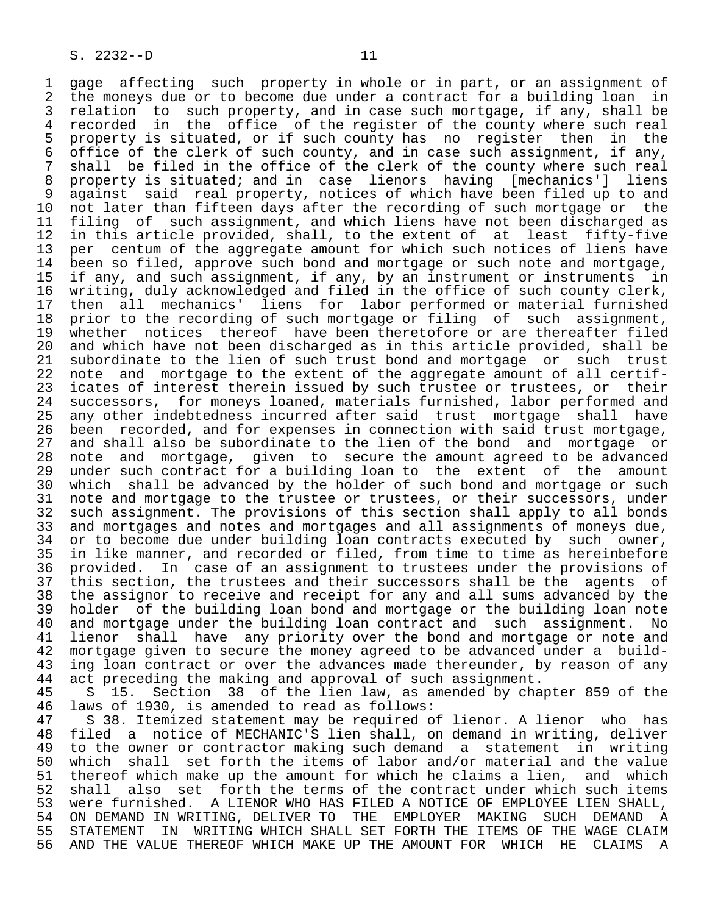1 gage affecting such property in whole or in part, or an assignment of<br>2 the moneys due or to become due under a contract for a building loan in 2 the moneys due or to become due under a contract for a building loan in<br>3 relation to such property, and in case such mortgage, if any, shall be 3 relation to such property, and in case such mortgage, if any, shall be<br>4 recorded in the office of the register of the county where such real 4 recorded in the office of the register of the county where such real<br>5 property is situated, or if such county has no register then in the 5 property is situated, or if such county has no register then in the<br>6 office of the clerk of such county, and in case such assignment, if any, 6 office of the clerk of such county, and in case such assignment, if any,<br>7 shall be filed in the office of the clerk of the county where such real 7 shall be filed in the office of the clerk of the county where such real<br>8 property is situated; and in case lienors having [mechanics'] liens 8 property is situated; and in case lienors having [mechanics'] liens eral real property, notices of which have been filed up to and<br>10 not later than fifteen days after the recording of such mortgage or the 10 not later than fifteen days after the recording of such mortgage or the<br>11 filing of such assignment, and which liens have not been discharged as 11 filing of such assignment, and which liens have not been discharged as<br>12 in this article provided, shall, to the extent of at least fifty-five 12 in this article provided, shall, to the extent of at least fifty-five<br>13 per centum of the aggregate amount for which such notices of liens have 13 per centum of the aggregate amount for which such notices of liens have<br>14 been so filed, approve such bond and mortgage or such note and mortgage, been so filed, approve such bond and mortgage or such note and mortgage, 15 if any, and such assignment, if any, by an instrument or instruments in<br>16 writing, duly acknowledged and filed in the office of such county clerk, 16 writing, duly acknowledged and filed in the office of such county clerk,<br>17 then all mechanics' liens for labor performed or material furnished 17 then all mechanics' liens for labor performed or material furnished<br>18 prior to the recording of such mortgage or filing of such assignment, 18 prior to the recording of such mortgage or filing of such assignment,<br>19 whether notices thereof have been theretofore or are thereafter filed 19 whether notices thereof have been theretofore or are thereafter filed<br>20 and which have not been discharged as in this article provided, shall be 20 and which have not been discharged as in this article provided, shall be<br>21 subordinate to the lien of such trust bond and mortgage or such trust 21 subordinate to the lien of such trust bond and mortgage or such trust<br>22 note and mortgage to the extent of the aggregate amount of all certif-22 note and mortgage to the extent of the aggregate amount of all certif-<br>23 icates of interest therein issued by such trustee or trustees, or their 23 icates of interest therein issued by such trustee or trustees, or their<br>24 successors, for moneys loaned, materials furnished, labor performed and 24 successors, for moneys loaned, materials furnished, labor performed and<br>25 any other indebtedness incurred after said trust mortgage shall have any other indebtedness incurred after said trust mortgage shall have 26 been recorded, and for expenses in connection with said trust mortgage, 27 and shall also be subordinate to the lien of the bond and mortgage or<br>28 note and mortgage, given to secure the amount agreed to be advanced 28 note and mortgage, given to secure the amount agreed to be advanced<br>29 under such contract for a building loan to the extent of the amount 29 under such contract for a building loan to the extent of the amount<br>30 which shall be advanced by the holder of such bond and mortgage or such 30 which shall be advanced by the holder of such bond and mortgage or such<br>31 note and mortgage to the trustee or trustees, or their successors, under 31 note and mortgage to the trustee or trustees, or their successors, under<br>32 such assignment. The provisions of this section shall apply to all bonds 32 such assignment. The provisions of this section shall apply to all bonds<br>33 and mortgages and notes and mortgages and all assignments of moneys due, 33 and mortgages and notes and mortgages and all assignments of moneys due,<br>34 or to become due under building loan contracts executed by such owner, 34 or to become due under building loan contracts executed by such owner,<br>35 in like manner, and recorded or filed, from time to time as hereinbefore 35 in like manner, and recorded or filed, from time to time as hereinbefore<br>36 provided. In case of an assignment to trustees under the provisions of provided. In case of an assignment to trustees under the provisions of 37 this section, the trustees and their successors shall be the agents of<br>38 the assignor to receive and receipt for any and all sums advanced by the 38 the assignor to receive and receipt for any and all sums advanced by the 39 holder of the building loan bond and mortgage or the building loan note<br>40 and mortgage under the building loan contract and such assignment. No 40 and mortgage under the building loan contract and such assignment. No<br>41 lienor shall have any priority over the bond and mortgage or note and 41 lienor shall have any priority over the bond and mortgage or note and<br>42 mortgage given to secure the money agreed to be advanced under a build-42 mortgage given to secure the money agreed to be advanced under a build-<br>43 ing loan contract or over the advances made thereunder, by reason of any 43 ing loan contract or over the advances made thereunder, by reason of any<br>44 act preceding the making and approval of such assignment. 44 act preceding the making and approval of such assignment.<br>45 S 15. Section 38 of the lien law, as amended by cha

45 S 15. Section 38 of the lien law, as amended by chapter 859 of the 46 laws of 1930, is amended to read as follows: 46 laws of 1930, is amended to read as follows:<br>47 S 38. Itemized statement may be required o

47 S 38. Itemized statement may be required of lienor. A lienor who has<br>48 filed a notice of MECHANIC'S lien shall, on demand in writing, deliver 48 filed a notice of MECHANIC'S lien shall, on demand in writing, deliver<br>49 to the owner or contractor making such demand a statement in writing 49 to the owner or contractor making such demand a statement in writing<br>50 which shall set forth the items of labor and/or material and the value 50 which shall set forth the items of labor and/or material and the value<br>51 thereof which make up the amount for which he claims a lien, and which 51 thereof which make up the amount for which he claims a lien, and which<br>52 shall also set forth the terms of the contract under which such items 52 shall also set forth the terms of the contract under which such items<br>53 were furnished. A LIENOR WHO HAS FILED A NOTICE OF EMPLOYEE LIEN SHALL. 53 were furnished. A LIENOR WHO HAS FILED A NOTICE OF EMPLOYEE LIEN SHALL,<br>54 ON DEMAND IN WRITING, DELIVER TO THE EMPLOYER MAKING SUCH DEMAND A 54 ON DEMAND IN WRITING, DELIVER TO THE EMPLOYER MAKING SUCH DEMAND A<br>55 STATEMENT IN WRITING WHICH SHALL SET FORTH THE ITEMS OF THE WAGE CLAIM 55 STATEMENT IN WRITING WHICH SHALL SET FORTH THE ITEMS OF THE WAGE CLAIM<br>56 AND THE VALUE THEREOF WHICH MAKE UP THE AMOUNT FOR WHICH HE CLAIMS A 56 AND THE VALUE THEREOF WHICH MAKE UP THE AMOUNT FOR WHICH HE CLAIMS A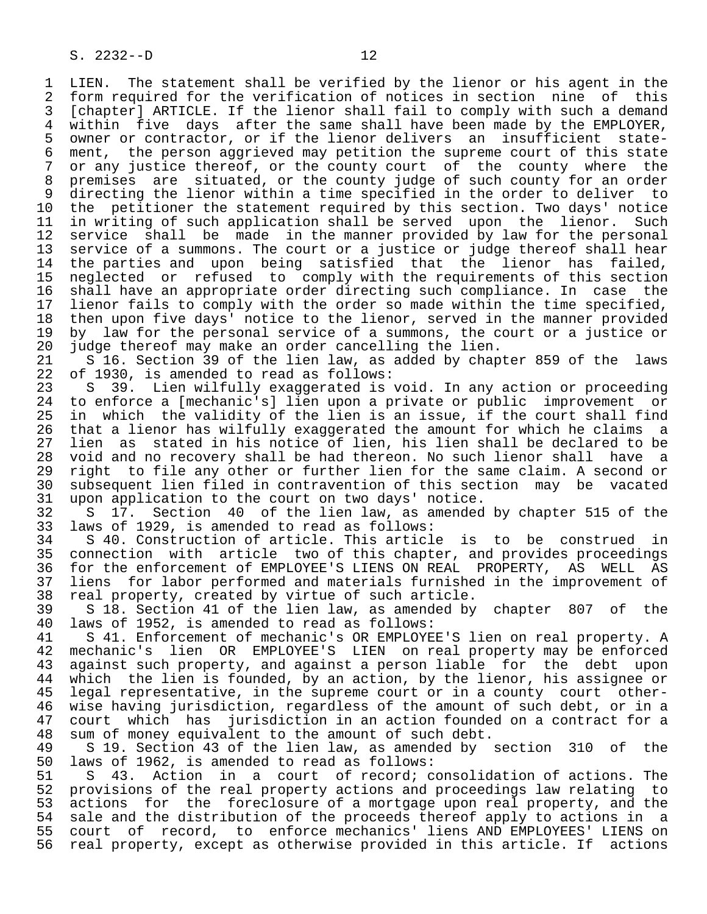1 LIEN. The statement shall be verified by the lienor or his agent in the<br>2 form required for the verification of notices in section nine of this 2 form required for the verification of notices in section nine of this<br>3 [chapter] ARTICLE. If the lienor shall fail to comply with such a demand 3 [chapter] ARTICLE. If the lienor shall fail to comply with such a demand<br>4 within five days after the same shall have been made by the EMPLOYER. 4 within five days after the same shall have been made by the EMPLOYER, 5 owner or contractor, or if the lienor delivers an insufficient state-<br>6 ment, the person aggrieved may petition the supreme court of this state 6 ment, the person aggrieved may petition the supreme court of this state<br>7 or any justice thereof, or the county court of the county where the or any justice thereof, or the county court of the county where the 8 premises are situated, or the county judge of such county for an order 9 directing the lienor within a time specified in the order to deliver to<br>10 the petitioner the statement required by this section. Two days' notice 10 the petitioner the statement required by this section. Two days' notice<br>11 in writing of such application shall be served upon the lienor. Such 11 in writing of such application shall be served upon the lienor. Such<br>12 service shall be made in the manner provided by law for the personal 12 service shall be made in the manner provided by law for the personal<br>13 service of a summons. The court or a justice or judge thereof shall hear 13 service of a summons. The court or a justice or judge thereof shall hear<br>14 the parties and upon being satisfied that the lienor has failed. the parties and upon being satisfied that the lienor has failed, 15 neglected or refused to comply with the requirements of this section<br>16 shall have an appropriate order directing such compliance. In case the 16 shall have an appropriate order directing such compliance. In case the<br>17 lienor fails to comply with the order so made within the time specified. 17 lienor fails to comply with the order so made within the time specified,<br>18 then upon five days' notice to the lienor, served in the manner provided 18 then upon five days' notice to the lienor, served in the manner provided<br>19 by law for the personal service of a summons, the court or a justice or 19 by law for the personal service of a summons, the court or a justice or<br>20 judge thereof may make an order cancelling the lien. 20 judge thereof may make an order cancelling the lien.<br>21 S 16. Section 39 of the lien law, as added by chap

21 S 16. Section 39 of the lien law, as added by chapter 859 of the laws<br>22 of 1930, is amended to read as follows: 22 of 1930, is amended to read as follows:<br>23 S 39. Lien wilfully exaggerated is

 23 S 39. Lien wilfully exaggerated is void. In any action or proceeding 24 to enforce a [mechanic's] lien upon a private or public improvement or<br>25 in which the validity of the lien is an issue, if the court shall find in which the validity of the lien is an issue, if the court shall find 26 that a lienor has wilfully exaggerated the amount for which he claims a 27 lien as stated in his notice of lien, his lien shall be declared to be<br>28 void and no recovery shall be had thereon. No such lienor shall have a 28 void and no recovery shall be had thereon. No such lienor shall have a<br>29 right to file any other or further lien for the same claim. A second or 29 right to file any other or further lien for the same claim. A second or<br>30 subsequent lien filed in contravention of this section may be vacated 30 subsequent lien filed in contravention of this section may be vacated<br>31 upon application to the court on two days' notice. 31 upon application to the court on two days' notice.<br>32 S 17. Section 40 of the lien law, as amended

32 S 17. Section 40 of the lien law, as amended by chapter 515 of the<br>33 laws of 1929, is amended to read as follows: 33 laws of 1929, is amended to read as follows:<br>34 S 40. Construction of article. This articl

34 S 40. Construction of article. This article is to be construed in<br>35 connection with article two of this chapter, and provides proceedings 35 connection with article two of this chapter, and provides proceedings<br>36 for the enforcement of EMPLOYEE'S LIENS ON REAL PROPERTY, AS WELL AS for the enforcement of EMPLOYEE'S LIENS ON REAL PROPERTY, AS WELL AS 37 liens for labor performed and materials furnished in the improvement of<br>38 real property, created by virtue of such article. 38 real property, created by virtue of such article.

39 S 18. Section 41 of the lien law, as amended by chapter 807 of the 40 laws of 1952, is amended to read as follows: 40 laws of 1952, is amended to read as follows:

41 S 41. Enforcement of mechanic's OR EMPLOYEE'S lien on real property. A<br>42 mechanic's lien OR EMPLOYEE'S LIEN on real property may be enforced <sup>1</sup>/<sub>2</sub> mechanic's lien OR EMPLOYEE'S LIEN on real property may be enforced<br>43 against such property, and against a person liable for the debt upon 43 against such property, and against a person liable for the debt upon<br>44 which the lien is founded, by an action, by the lienor, his assignee or 44 which the lien is founded, by an action, by the lienor, his assignee or<br>45 legal representative, in the supreme court or in a county court otherlegal representative, in the supreme court or in a county court other-46 wise having jurisdiction, regardless of the amount of such debt, or in a<br>47 court which has jurisdiction in an action founded on a contract for a 47 court which has jurisdiction in an action founded on a contract for a<br>48 sum of money equivalent to the amount of such debt. 48 sum of money equivalent to the amount of such debt.<br>49 S 19. Section 43 of the lien law, as amended by

49 S 19. Section 43 of the lien law, as amended by section 310 of the 40 laws of 1962, is amended to read as follows: 50 laws of 1962, is amended to read as follows:<br>51 S 43. Action in a court of record; c

S 43. Action in a court of record; consolidation of actions. The 52 provisions of the real property actions and proceedings law relating to 53 actions for the foreclosure of a mortgage upon real property, and the<br>54 sale and the distribution of the proceeds thereof apply to actions in a 54 sale and the distribution of the proceeds thereof apply to actions in a<br>55 court of record, to enforce mechanics' liens AND EMPLOYEES' LIENS on 55 court of record, to enforce mechanics' liens AND EMPLOYEES' LIENS on<br>56 real property, except as otherwise provided in this article. If actions real property, except as otherwise provided in this article. If actions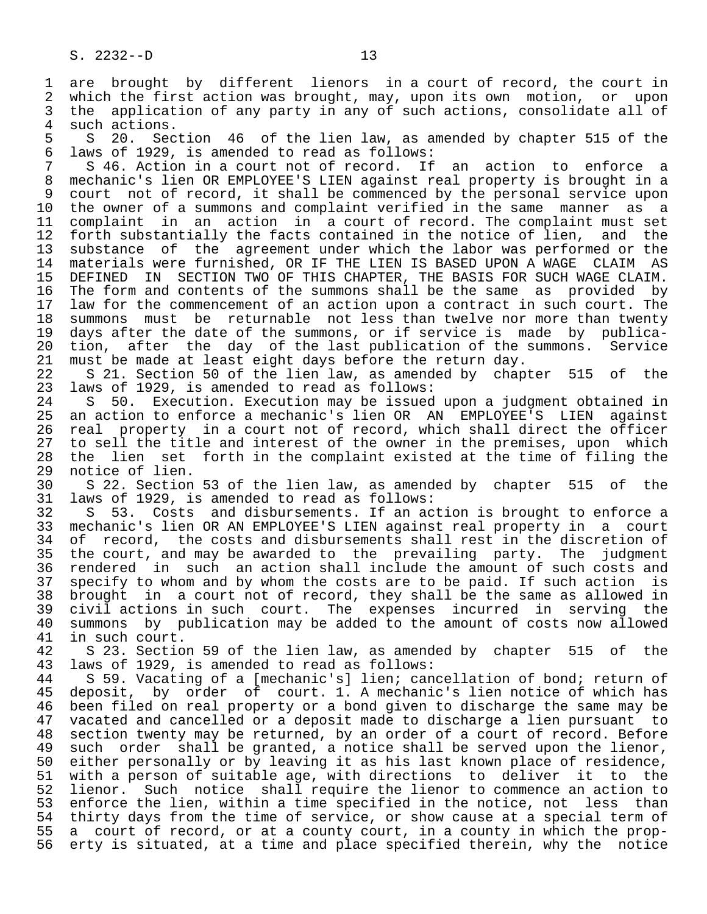1 are brought by different lienors in a court of record, the court in<br>2 which the first action was brought, may, upon its own motion, or upon 2 which the first action was brought, may, upon its own motion, or upon<br>3 the application of any party in any of such actions, consolidate all of 3 the application of any party in any of such actions, consolidate all of such actions. 4 such actions.<br>5 S 20. Sec

5 S 20. Section 46 of the lien law, as amended by chapter 515 of the<br>6 laws of 1929, is amended to read as follows: 6 laws of 1929, is amended to read as follows:

7 S 46. Action in a court not of record. If an action to enforce a<br>8 mechanic's lien OR EMPLOYEE'S LIEN against real property is brought in a 8 mechanic's lien OR EMPLOYEE'S LIEN against real property is brought in a<br>8 court not of record, it shall be commenced by the personal service upon 9 court not of record, it shall be commenced by the personal service upon<br>10 the owner of a summons and complaint verified in the same manner as a 10 the owner of a summons and complaint verified in the same manner as a<br>11 complaint in an action in a court of record. The complaint must set 11 complaint in an action in a court of record. The complaint must set<br>12 forth substantially the facts contained in the notice of lien, and the 12 forth substantially the facts contained in the notice of lien,<br>13 substance of the agreement under which the labor was perform 13 substance of the agreement under which the labor was performed or the<br>14 materials were furnished, OR IF THE LIEN IS BASED UPON A WAGE CLAIM AS 14 materials were furnished, OR IF THE LIEN IS BASED UPON A WAGE CLAIM AS 15 DEFINED IN SECTION TWO OF THIS CHAPTER, THE BASIS FOR SUCH WAGE CLAIM.<br>16 The form and contents of the summons shall be the same as provided by 16 The form and contents of the summons shall be the same as provided by<br>17 law for the commencement of an action upon a contract in such court. The 17 law for the commencement of an action upon a contract in such court. The<br>18 summons must be returnable not less than twelve nor more than twenty 18 summons must be returnable not less than twelve nor more than twenty<br>19 days after the date of the summons, or if service is made by publica-19 days after the date of the summons, or if service is made by publica-<br>20 tion, after the day of the last publication of the summons. Service 20 tion, after the day of the last publication of the summons. Service<br>21 must be made at least eight days before the return day.

21 must be made at least eight days before the return day.<br>22 S 21. Section 50 of the lien law, as amended by chap 22 S 21. Section 50 of the lien law, as amended by chapter 515 of the 23 laws of 1929, is amended to read as follows: 23 laws of 1929, is amended to read as follows:<br>24 S 50. Execution. Execution may be issued

24 S 50. Execution. Execution may be issued upon a judgment obtained in<br>25 an action to enforce a mechanic's lien OR AN EMPLOYEE'S LIEN against 25 an action to enforce a mechanic's lien OR AN EMPLOYEE'S LIEN against 26 real property in a court not of record, which shall direct the officer<br>27 to sell the title and interest of the owner in the premises, upon which 27 to sell the title and interest of the owner in the premises, upon which<br>28 the lien set forth in the complaint existed at the time of filing the 28 the lien set forth in the complaint existed at the time of filing the 29 notice of lien.<br>30 S 22. Section

30 S 22. Section 53 of the lien law, as amended by chapter 515 of the 31 laws of 1929, is amended to read as follows: 31 laws of 1929, is amended to read as follows:

32 S 53. Costs and disbursements. If an action is brought to enforce a<br>33 mechanic's lien OR AN EMPLOYEE'S LIEN against real property in a court 33 mechanic's lien OR AN EMPLOYEE'S LIEN against real property in a court 34 of record, the costs and disbursements shall rest in the discretion of<br>35 the court, and may be awarded to the prevailing party. The judgment 35 the court, and may be awarded to the prevailing party. The judgment<br>36 rendered in such an action shall include the amount of such costs and 36 rendered in such an action shall include the amount of such costs and 37 specify to whom and by whom the costs are to be paid. If such action is<br>38 brought in a court not of record, they shall be the same as allowed in 38 brought in a court not of record, they shall be the same as allowed in<br>39 civil actions in such court. The expenses incurred in serving the 39 civil actions in such court. The expenses incurred in serving the<br>40 summons by publication may be added to the amount of costs now allowed 40 summons by publication may be added to the amount of costs now allowed<br>41 in such court. 41 in such court.<br>42 S 23. Sectio

42 S 23. Section 59 of the lien law, as amended by chapter 515 of the 43 laws of 1929, is amended to read as follows: 43 laws of 1929, is amended to read as follows:

44 S 59. Vacating of a [mechanic's] lien; cancellation of bond; return of<br>45 deposit, by order of court. 1. A mechanic's lien notice of which has deposit, by order of court. 1. A mechanic's lien notice of which has 46 been filed on real property or a bond given to discharge the same may be<br>47 vacated and cancelled or a deposit made to discharge a lien pursuant to 47 vacated and cancelled or a deposit made to discharge a lien pursuant to 48 section twenty may be returned, by an order of a court of record. Before<br>49 such order shall be granted, a notice shall be served upon the lienor, 49 such order shall be granted, a notice shall be served upon the lienor,<br>50 either personally or by leaving it as his last known place of residence, 50 either personally or by leaving it as his last known place of residence,<br>51 with a person of suitable age, with directions to deliver it to the 51 with a person of suitable age, with directions to deliver it to the<br>52 lienor. Such notice shall require the lienor to commence an action to 52 lienor. Such notice shall require the lienor to commence an action to<br>53 enforce the lien, within a time specified in the notice, not less than 53 enforce the lien, within a time specified in the notice, not less than<br>54 thirty days from the time of service, or show cause at a special term of 54 thirty days from the time of service, or show cause at a special term of<br>55 a court of record, or at a county court, in a county in which the prop-55 a court of record, or at a county court, in a county in which the prop-<br>56 erty is situated, at a time and place specified therein, why the notice erty is situated, at a time and place specified therein, why the notice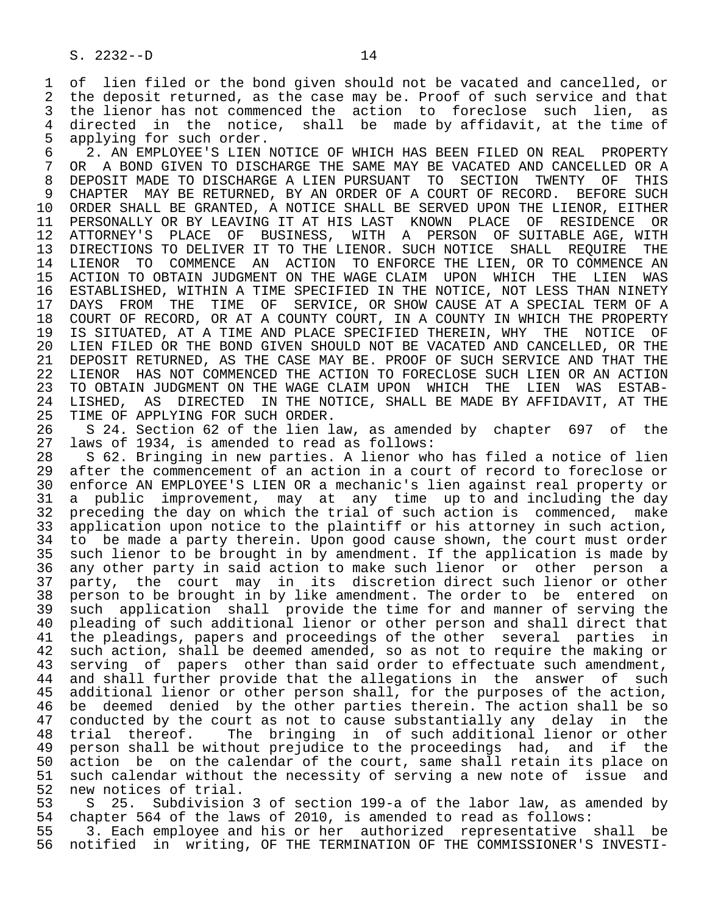1 of lien filed or the bond given should not be vacated and cancelled, or<br>2 the deposit returned, as the case may be. Proof of such service and that 2 the deposit returned, as the case may be. Proof of such service and that<br>3 the lienor has not commenced the action to foreclose such lien, as 3 the lienor has not commenced the action to foreclose such lien, as<br>4 directed in the notice, shall be made by affidavit, at the time of 4 directed in the notice, shall be made-by-affidavit, at the time of the such order. 5 applying for such order.<br>6 2. AN EMPLOYEE'S LIEN

6 2. AN EMPLOYEE'S LIEN NOTICE OF WHICH HAS BEEN FILED ON REAL PROPERTY<br>7 OR A BOND GIVEN TO DISCHARGE THE SAME MAY BE VACATED AND CANCELLED OR A 7 OR A BOND GIVEN TO DISCHARGE THE SAME MAY BE VACATED AND CANCELLED OR A<br>8 DEPOSIT MADE TO DISCHARGE A LIEN PURSUANT TO SECTION TWENTY OF THIS 8 DEPOSIT MADE TO DISCHARGE A LIEN PURSUANT TO SECTION TWENTY OF THIS<br>9 CHAPTER MAY BE RETURNED, BY AN ORDER OF A COURT OF RECORD, BEFORE SUCH 9 CHAPTER MAY BE RETURNED, BY AN ORDER OF A COURT OF RECORD. BEFORE SUCH<br>10 ORDER SHALL BE GRANTED, A NOTICE SHALL BE SERVED UPON THE LIENOR, EITHER 10 ORDER SHALL BE GRANTED, A NOTICE SHALL BE SERVED UPON THE LIENOR, EITHER<br>11 PERSONALLY OR BY LEAVING IT AT HIS LAST KNOWN PLACE OF RESIDENCE OR 11 PERSONALLY OR BY LEAVING IT AT HIS LAST KNOWN PLACE OF RESIDENCE OR<br>12 ATTORNEY'S PLACE OF BUSINESS, WITH A PERSON OF SUITABLE AGE, WITH PLACE OF BUSINESS, WITH A PERSON OF SUITABLE AGE, WITH 13 DIRECTIONS TO DELIVER IT TO THE LIENOR. SUCH NOTICE SHALL REQUIRE THE<br>14 LIENOR TO COMMENCE AN ACTION TO ENFORCE THE LIEN, OR TO COMMENCE AN LIENOR TO COMMENCE AN ACTION TO ENFORCE THE LIEN, OR TO COMMENCE AN 15 ACTION TO OBTAIN JUDGMENT ON THE WAGE CLAIM UPON WHICH THE LIEN WAS<br>16 ESTABLISHED, WITHIN A TIME SPECIFIED IN THE NOTICE, NOT LESS THAN NINETY 16 ESTABLISHED, WITHIN A TIME SPECIFIED IN THE NOTICE, NOT LESS THAN NINETY<br>17 DAYS FROM THE TIME OF SERVICE, OR SHOW CAUSE AT A SPECIAL TERM OF A 17 DAYS FROM THE TIME OF SERVICE, OR SHOW CAUSE AT A SPECIAL TERM OF A<br>18 COURT OF RECORD, OR AT A COUNTY COURT, IN A COUNTY IN WHICH THE PROPERTY 18 COURT OF RECORD, OR AT A COUNTY COURT, IN A COUNTY IN WHICH THE PROPERTY<br>19 IS SITUATED, AT A TIME AND PLACE SPECIFIED THEREIN, WHY THE NOTICE OF 19 IS SITUATED, AT A TIME AND PLACE SPECIFIED THEREIN, WHY THE NOTICE OF<br>20 LIEN FILED OR THE BOND GIVEN SHOULD NOT BE VACATED AND CANCELLED, OR THE 20 LIEN FILED OR THE BOND GIVEN SHOULD NOT BE VACATED AND CANCELLED, OR THE 21 DEPOSIT RETURNED, AS THE CASE MAY BE. PROOF OF SUCH SERVICE AND THAT THE 21 DEPOSIT RETURNED, AS THE CASE MAY BE. PROOF OF SUCH SERVICE AND THAT THE 22 LIENOR HAS NOT COMMENCED THE ACTION TO FORECLOSE SUCH LIEN OR AN ACTION 22 LIENOR HAS NOT COMMENCED THE ACTION TO FORECLOSE SUCH LIEN OR AN ACTION<br>23 TO OBTAIN JUDGMENT ON THE WAGE CLAIM UPON WHICH THE LIEN WAS ESTAB-23 TO OBTAIN JUDGMENT ON THE WAGE CLAIM UPON WHICH THE LIEN WAS ESTAB-<br>24 LISHED, AS DIRECTED IN THE NOTICE, SHALL BE MADE BY AFFIDAVIT, AT THE 24 LISHED, AS DIRECTED IN THE NOTICE, SHALL BE MADE BY AFFIDAVIT, AT THE 25 TIME OF APPLYING FOR SUCH ORDER. TIME OF APPLYING FOR SUCH ORDER.

26 S 24. Section 62 of the lien law, as amended by chapter 697 of the 27 laws of 1934, is amended to read as follows: 27 laws of 1934, is amended to read as follows:<br>28 S 62. Bringing in new parties. A lienor wh

28 S 62. Bringing in new parties. A lienor who has filed a notice of lien<br>29 after the commencement of an action in a court of record to foreclose or 29 after the commencement of an action in a court of record to foreclose or<br>30 enforce AN EMPLOYEE'S LIEN OR a mechanic's lien against real property or 30 enforce AN EMPLOYEE'S LIEN OR a mechanic's lien against real property or 31 a public improvement, may at any time up to and including the day<br>32 preceding the day on which the trial of such action is commenced, make 32 preceding the day on which the trial of such action is commenced, make<br>33 application upon notice to the plaintiff or his attorney in such action, 33 application upon notice to the plaintiff or his attorney in such action,<br>34 to be made a party therein. Upon good cause shown, the court must order 34 to be made a party therein. Upon good cause shown, the court must order<br>35 such lienor to be brought in by amendment. If the application is made by 35 such lienor to be brought in by amendment. If the application is made by<br>36 any other party in said action to make such lienor or other person a any other party in said action to make such lienor or other person a 37 party, the court may in its discretion direct such lienor or other<br>38 person to be brought in by like amendment. The order to be entered on 38 person to be brought in by like amendment. The order to be entered on<br>39 such application shall provide the time for and manner of serving the 39 such application shall provide the time for and manner of serving the<br>40 pleading of such additional lienor or other person and shall direct that 40 pleading of such additional lienor or other person and shall direct that<br>41 the pleadings, papers and proceedings of the other several parties in 41 the pleadings, papers and proceedings of the other several parties in<br>42 such action, shall be deemed amended, so as not to require the making or 42 such action, shall be deemed amended, so as not to require the making or<br>43 serving of papers other than said order to effectuate such amendment. 43 serving of papers other than said order to effectuate such amendment,<br>44 and shall further provide that the allegations in the answer of such 44 and shall further provide that the allegations in the answer of such<br>45 additional lienor or other person shall, for the purposes of the action, additional lienor or other person shall, for the purposes of the action, 46 be deemed denied by the other parties therein. The action shall be so<br>47 conducted by the court as not to cause substantially any delay in the 47 conducted by the court as not to cause substantially any delay in the<br>48 trial thereof. The bringing in of such additional lienor or other 48 trial thereof. The bringing in of such additional lienor or other<br>49 person shall be without prejudice to the proceedings had, and if the 49 person shall be without prejudice to the proceedings had, and if the<br>50 action be on the calendar of the court, same shall retain its place on 50 action be on the calendar of the court, same shall retain its place on<br>51 such calendar without the necessity of serving a new note of issue and 51 such calendar without the necessity of serving a new note of issue and<br>52 new notices of trial.

52 new notices of trial.<br>53 S 25. Subdivision 53 S 25. Subdivision 3 of section 199-a of the labor law, as amended by<br>54 chapter 564 of the laws of 2010, is amended to read as follows: 54 chapter 564 of the laws of 2010, is amended to read as follows:<br>55 3. Each employee and his or her authorized representative 55 3. Each employee and his or her authorized representative shall be<br>56 notified in writing, OF THE TERMINATION OF THE COMMISSIONER'S INVESTI-56 notified in writing, OF THE TERMINATION OF THE COMMISSIONER'S INVESTI-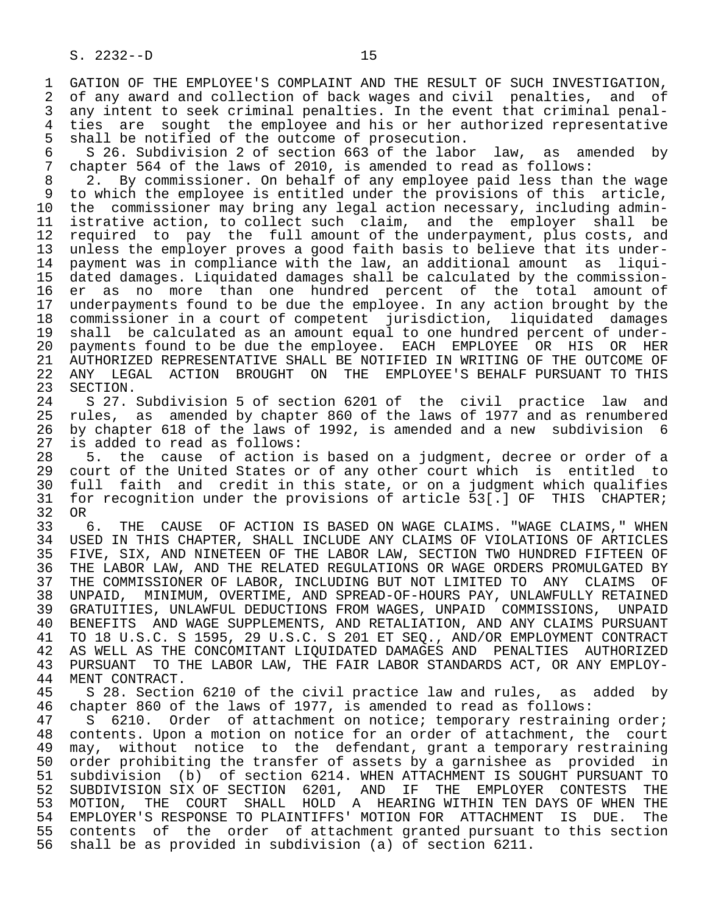1 GATION OF THE EMPLOYEE'S COMPLAINT AND THE RESULT OF SUCH INVESTIGATION,<br>2 of any award and collection of back wages and civil penalties, and of 2 of any award and collection of back wages and civil penalties, and of<br>3 any intent to seek criminal penalties. In the event that criminal penal-3 any intent to seek criminal penalties. In the event that criminal penal-<br>4 ties are sought the employee and his or her authorized representative 4 ties are sought the employee and his or her authorized representative<br>5 shall be notified of the outcome of prosecution. 5 shall be notified of the outcome of prosecution.<br>6 S 26. Subdivision 2 of section 663 of the labo

6 S 26. Subdivision 2 of section  $663$  of the labor law, as amended by<br>7 chapter 564 of the laws of 2010, is amended to read as follows: 7 chapter 564 of the laws of 2010, is amended to read as follows:<br>8 2. By commissioner, On behalf of any employee paid less than

2. By commissioner. On behalf of any employee paid less than the wage 9 to which the employee is entitled under the provisions of this article,<br>10 the commissioner may bring any legal action necessary, including admin-10 the commissioner may bring any legal action necessary, including admin-<br>11 istrative action, to collect such claim, and the emplover shall be 11 istrative action, to collect such claim, and the employer shall be<br>12 required to pay the full amount of the underpayment, plus costs, and 12 required to pay the full amount of the underpayment, plus costs, and<br>13 unless the emplover proves a good faith basis to believe that its under-13 unless the employer proves a good faith basis to believe that its under-<br>14 payment was in compliance with the law, an additional amount as liguipayment was in compliance with the law, an additional amount as liqui- 15 dated damages. Liquidated damages shall be calculated by the commission- 16 er as no more than one hundred percent of the total amount of<br>17 underpayments found to be due the employee. In any action brought by the 17 underpayments found to be due the employee. In any action brought by the<br>18 commissioner in a court of competent jurisdiction, liquidated damages 18 commissioner in a court of competent jurisdiction, liquidated damages 19 shall be calculated as an amount equal to one hundred percent of under- 20 payments found to be due the employee. EACH EMPLOYEE OR HIS OR HER<br>21 AUTHORIZED REPRESENTATIVE SHALL BE NOTIFIED IN WRITING OF THE OUTCOME OF 21 AUTHORIZED REPRESENTATIVE SHALL BE NOTIFIED IN WRITING OF THE OUTCOME OF<br>22 ANY LEGAL ACTION BROUGHT ON THE EMPLOYEE'S BEHALF PURSUANT TO THIS 22 ANY LEGAL ACTION BROUGHT ON THE EMPLOYEE'S BEHALF PURSUANT TO THIS 23 SECTION.

23 SECTION.<br>24 S 27. 24 S 27. Subdivision 5 of section 6201 of the civil practice law and<br>25 rules, as amended by chapter 860 of the laws of 1977 and as renumbered rules, as amended by chapter 860 of the laws of 1977 and as renumbered 26 by chapter 618 of the laws of 1992, is amended and a new subdivision 6 27 is added to read as follows:<br>28 5. the cause of action

 28 5. the cause of action is based on a judgment, decree or order of a 29 court of the United States or of any other court which is entitled to 30 full faith and credit in this state, or on a judgment which qualifies<br>31 for recognition under the provisions of article 531.1 OF THIS CHAPTER; for recognition under the provisions of article 53[.] OF THIS CHAPTER;<br>OR  $32 \t OR \t 33 \t 6.$ 

33 6. THE CAUSE OF ACTION IS BASED ON WAGE CLAIMS. "WAGE CLAIMS," WHEN<br>34 USED IN THIS CHAPTER, SHALL INCLUDE ANY CLAIMS OF VIOLATIONS OF ARTICLES 34 USED IN THIS CHAPTER, SHALL INCLUDE ANY CLAIMS OF VIOLATIONS OF ARTICLES<br>35 FIVE, SIX, AND NINETEEN OF THE LABOR LAW, SECTION TWO HUNDRED FIFTEEN OF 35 FIVE, SIX, AND NINETEEN OF THE LABOR LAW, SECTION TWO HUNDRED FIFTEEN OF<br>36 THE LABOR LAW, AND THE RELATED REGULATIONS OR WAGE ORDERS PROMULGATED BY THE LABOR LAW, AND THE RELATED REGULATIONS OR WAGE ORDERS PROMULGATED BY 37 THE COMMISSIONER OF LABOR, INCLUDING BUT NOT LIMITED TO ANY CLAIMS OF<br>38 UNPAID, MINIMUM, OVERTIME, AND SPREAD-OF-HOURS PAY, UNLAWFULLY RETAINED 38 UNPAID, MINIMUM, OVERTIME, AND SPREAD-OF-HOURS PAY, UNLAWFULLY RETAINED 39 GRATUITIES, UNLAWFUL DEDUCTIONS FROM WAGES, UNPAID COMMISSIONS, UNPAID<br>40 BENEFITS AND WAGE SUPPLEMENTS, AND RETALIATION, AND ANY CLAIMS PURSUANT 40 BENEFITS AND WAGE SUPPLEMENTS, AND RETALIATION, AND ANY CLAIMS PURSUANT 41 TO 18 U.S.C. S 1595, 29 U.S.C. S 201 ET SEQ., AND/OR EMPLOYMENT CONTRACT 42 AS WELL AS THE CONCOMITANT LIQUIDATED DAMAGES AND PENALTIES AUTHORIZED<br>43 PURSUANT TO THE LABOR LAW, THE FAIR LABOR STANDARDS ACT, OR ANY EMPLOY-43 PURSUANT TO THE LABOR LAW, THE FAIR LABOR STANDARDS ACT, OR ANY EMPLOY-<br>44 MENT CONTRACT. 44 MENT CONTRACT.<br>45 S 28. Sectio

45 S 28. Section 6210 of the civil practice law and rules, as added by<br>46 chapter 860 of the laws of 1977, is amended to read as follows: 46 chapter 860 of the laws of 1977, is amended to read as follows:<br>47 S 6210. Order of attachment on notice; temporary restraini

5 6210. Order of attachment on notice; temporary restraining order; 48 contents. Upon a motion on notice for an order of attachment, the court<br>49 may, without notice to the defendant, grant a temporary restraining 49 may, without notice to the defendant, grant a temporary restraining<br>50 order prohibiting the transfer of assets by a garnishee as provided in 50 order prohibiting the transfer of assets by a garnishee as provided in<br>51 subdivision (b) of section 6214. WHEN ATTACHMENT IS SOUGHT PURSUANT TO 51 subdivision (b) of section 6214. WHEN ATTACHMENT IS SOUGHT PURSUANT TO<br>52 SUBDIVISION SIX OF SECTION 6201, AND IF THE EMPLOYER CONTESTS THE 52 SUBDIVISION SIX OF SECTION 6201, AND IF THE EMPLOYER CONTESTS THE 53 MOTION. THE COURT SHALL HOLD A HEARING WITHIN TEN DAYS OF WHEN THE 53 MOTION, THE COURT SHALL HOLD A HEARING— WITHIN TEN DAYS OF WHEN THE SALL THE SHALL THE SALLER'S RESPONSE TO PLAINTIFFS' MOTION FOR ATTACHMENT IS DUE. The 54 EMPLOYER'S RESPONSE TO PLAINTIFFS' MOTION FOR ATTACHMENT<br>55 contents of the order of attachment granted pursuant to 55 contents of the order of attachment granted pursuant to this section<br>56 shall be as provided in subdivision (a) of section 6211. shall be as provided in subdivision (a) of section 6211.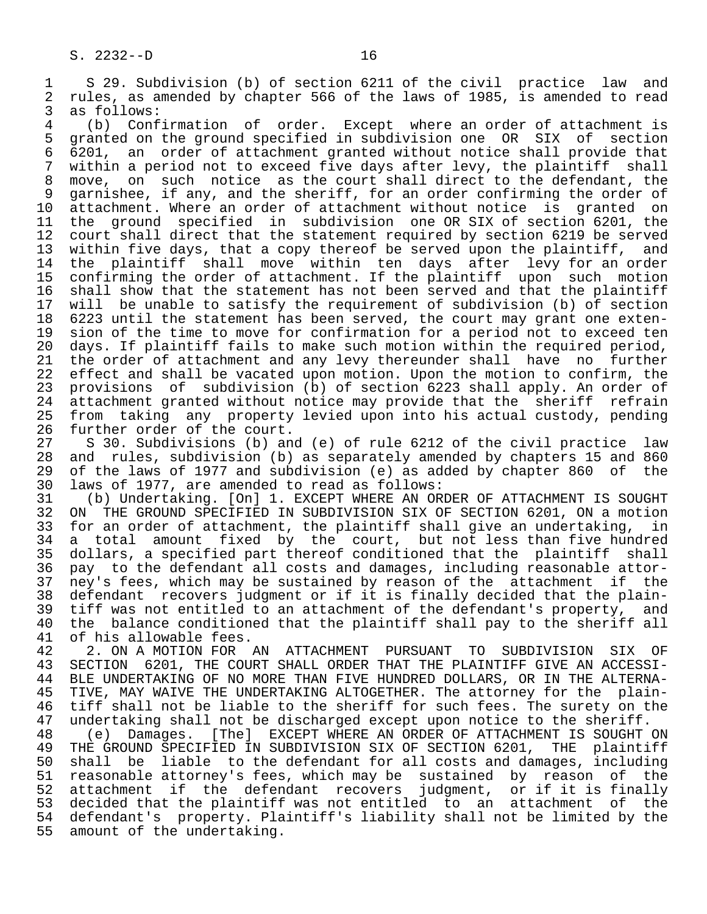1 S 29. Subdivision (b) of section 6211 of the civil practice law and<br>2 rules, as amended by chapter 566 of the laws of 1985, is amended to read 2 rules, as amended by chapter 566 of the laws of 1985, is amended to read<br>3 as follows:

3 as follows:<br>4 (b) Conf 4 (b) Confirmation of order. Except where an order of attachment is<br>5 granted on the ground specified in subdivision one OR SIX of section 5 granted on the ground specified in subdivision one OR SIX of section<br>6 6201, an order of attachment granted without notice shall provide that 6 6201, an order of attachment granted without notice shall provide that 7 within a period not to exceed five days after levy, the plaintiff<br>8 move, on such notice as the court shall direct to the defendar 8 move, on such notice as the court shall direct to the defendant, the<br>9 garnishee, if any, and the sheriff, for an order confirming the order of 9 garnishee, if any, and the sheriff, for an order confirming the order of<br>10 attachment. Where an order of attachment without notice is granted on 10 attachment. Where an order of attachment without notice is granted on<br>11 the ground specified in subdivision one OR SIX of section 6201, the 11 the ground specified in subdivision one OR SIX of section 6201, the<br>12 court shall direct that the statement required by section 6219 be served 12 court shall direct that the statement required by section 6219 be served<br>13 within five days, that a copy thereof be served upon the plaintiff, and 13 within five days, that a copy thereof be served upon the plaintiff, and<br>14 the plaintiff shall move within ten days after levy for an order the plaintiff shall move within ten days after levy for an order 15 confirming the order of attachment. If the plaintiff upon such motion<br>16 shall show that the statement has not been served and that the plaintiff 16 shall show that the statement has not been served and that the plaintiff<br>17 will be unable to satisfy the requirement of subdivision (b) of section 17 will be unable to satisfy the requirement of subdivision (b) of section<br>18 6223 until the statement has been served, the court may grant one exten-18 6223 until the statement has been served, the court may grant one exten-<br>19 sion of the time to move for confirmation for a period not to exceed ten 19 sion of the time to move for confirmation for a period not to exceed ten<br>20 days. If plaintiff fails to make such motion within the required period. 20 days. If plaintiff fails to make such motion within the required period,<br>21 the order of attachment and any levy thereunder shall have no further 21 the order of attachment and any levy thereunder shall have no further<br>22 effect and shall be vacated upon motion. Upon the motion to confirm, the effect and shall be vacated upon motion. Upon the motion to confirm, the 23 provisions of subdivision (b) of section 6223 shall apply. An order of<br>24 attachment granted without notice may provide that the sheriff refrain 24 attachment granted without notice may provide that the sheriff refrain<br>25 from taking any property levied upon into his actual custody, pending from taking any property levied upon into his actual custody, pending

26 further order of the court.<br>27 S 30. Subdivisions (b) an 27 S 30. Subdivisions (b) and (e) of rule 6212 of the civil practice law<br>28 and rules, subdivision (b) as separately amended by chapters 15 and 860 28 and rules, subdivision (b) as separately amended by chapters 15 and 860<br>29 of the laws of 1977 and subdivision (e) as added by chapter 860 of the 29 of the laws of 1977 and subdivision (e) as added by chapter 860 of the<br>30 laws of 1977, are amended to read as follows: 30 laws of 1977, are amended to read as follows:

 31 (b) Undertaking. [On] 1. EXCEPT WHERE AN ORDER OF ATTACHMENT IS SOUGHT 32 ON THE GROUND SPECIFIED IN SUBDIVISION SIX OF SECTION 6201, ON a motion<br>33 for an order of attachment, the plaintiff shall give an undertaking, in 33 for an order of attachment, the plaintiff shall give an undertaking, in<br>34 a total amount fixed by the court, but not less than five hundred 34 a total amount fixed by the court, but not less than five hundred 35 dollars, a specified part thereof conditioned that the plaintiff shall 36 pay to the defendant all costs and damages, including reasonable attor- 37 ney's fees, which may be sustained by reason of the attachment if the<br>38 defendant recovers judgment or if it is finally decided that the plain-38 defendant recovers judgment or if it is finally decided that the plain-<br>39 tiff was not entitled to an attachment of the defendant's property, and 39 tiff was not entitled to an attachment of the defendant's property, and<br>40 the balance conditioned that the plaintiff shall pay to the sheriff all 40 the balance conditioned that the plaintiff shall pay to the sheriff all 41 of his allowable fees. 41 of his allowable fees.<br>42 2. ON A MOTION FOR

42 2. ON A MOTION FOR AN ATTACHMENT PURSUANT TO SUBDIVISION SIX OF 43 SECTION 6201. THE COURT SHALL ORDER THAT THE PLAINTIFF GIVE AN ACCESSI-43 SECTION 6201, THE COURT SHALL ORDER THAT THE PLAINTIFF GIVE AN ACCESSI-<br>44 BLE UNDERTAKING OF NO MORE THAN FIVE HUNDRED DOLLARS, OR IN THE ALTERNA-44 BLE UNDERTAKING OF NO MORE THAN FIVE HUNDRED DOLLARS, OR IN THE ALTERNA-<br>45 TIVE, MAY WAIVE THE UNDERTAKING ALTOGETHER. The attorney for the plain-45 TIVE, MAY WAIVE THE UNDERTAKING ALTOGETHER. The attorney for the plain-<br>46 tiff shall not be liable to the sheriff for such fees. The surety on the 46 tiff shall not be liable to the sheriff for such fees. The surety on the<br>47 undertaking shall not be discharged except upon notice to the sheriff.

47 undertaking shall not be discharged except upon notice to the sheriff.<br>48 (e) Damages. [The] EXCEPT WHERE AN ORDER OF ATTACHMENT IS SOUGHT 48 (e) Damages. [The] EXCEPT WHERE AN ORDER OF ATTACHMENT IS SOUGHT ON<br>49 THE GROUND SPECIFIED IN SUBDIVISION SIX OF SECTION 6201, THE plaintiff 49 THE GROUND SPECIFIED IN SUBDIVISION SIX OF SECTION 6201, THE plaintiff<br>50 shall be liable to the defendant for all costs and damages, including 50 shall be liable to the defendant for all costs and damages, including<br>51 reasonable attorney's fees, which may be sustained by reason of the 51 reasonable attorney's fees, which may be sustained by reason of the 52 attachment if the defendant recovers judgment, or if it is finally 53 decided that the plaintiff was not entitled to an attachment of the 54 defendant's property. Plaintiff's liability shall not be limited by the 55 amount of the undertaking.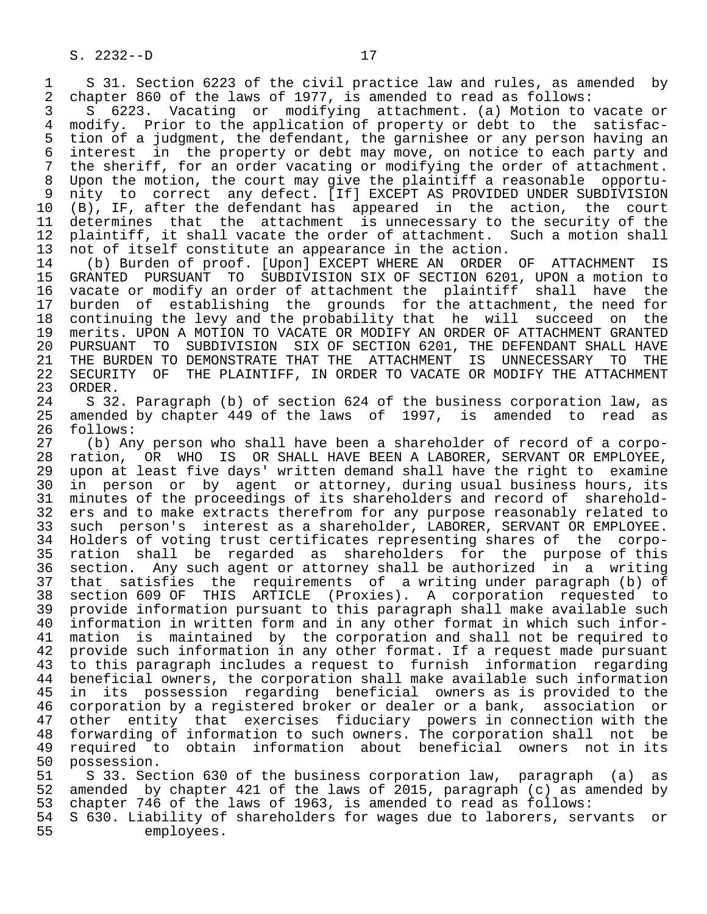S. 2232--D 17

1 S 31. Section 6223 of the civil practice law and rules, as amended by<br>2 chapter 860 of the laws of 1977, is amended to read as follows: 2 chapter 860 of the laws of 1977, is amended to read as follows:<br>3 5 6223. Vacating or modifying attachment. (a) Motion to

3 S 6223. Vacating or modifying attachment. (a) Motion to vacate or<br>4 modify. Prior to the application of property or debt to the satisfac-4 modify. Prior to the application of property or debt to the satisfac-<br>5 tion of a judgment, the defendant, the garnishee or any person having an 5 tion of a judgment, the defendant, the garnishee or any person having an 6 interest in the property or debt may move, on notice to each party and 7 the sheriff, for an order vacating or modifying the order of attachment. 8 Upon the motion, the court may give the plaintiff a reasonable opportu-<br>9 nity to correct any defect. [If] EXCEPT AS PROVIDED UNDER SUBDIVISION 9 nity to correct any defect. [If] EXCEPT AS PROVIDED UNDER SUBDIVISION<br>10 (B), IF, after the defendant has appeared in the action, the court 10 (B), IF, after the defendant has appeared in the action,<br>11 determines that the attachment is unnecessary to the secur 11 determines that the attachment is unnecessary to the security of the<br>12 plaintiff, it shall vacate the order of attachment. Such a motion shall 12 plaintiff, it shall vacate the order of attachment. Such a motion shall<br>13 not of itself constitute an appearance in the action. 13 not of itself constitute an appearance in the action.<br>14 (b) Burden of proof. [Upon] EXCEPT WHERE AN ORDER

14 (b) Burden of proof. [Upon] EXCEPT WHERE AN ORDER OF ATTACHMENT IS<br>15 GRANTED PURSUANT TO SUBDIVISION SIX OF SECTION 6201, UPON a motion to 15 GRANTED PURSUANT TO SUBDIVISION SIX OF SECTION 6201, UPON a motion to 16 vacate or modify an order of attachment the plaintiff shall have the<br>17 burden of establishing the grounds for the attachment, the need for 17 burden of establishing the grounds for the attachment, the need for<br>18 continuing the levy and the probability that he will succeed on the 18 continuing the levy and the probability that he will succeed on the<br>19 merits. UPON A MOTION TO VACATE OR MODIFY AN ORDER OF ATTACHMENT GRANTED 19 merits. UPON A MOTION TO VACATE OR MODIFY AN ORDER OF ATTACHMENT GRANTED<br>20 PURSUANT TO SUBDIVISION SIX OF SECTION 6201, THE DEFENDANT SHALL HAVE 20 PURSUANT TO SUBDIVISION SIX OF SECTION 6201, THE DEFENDANT SHALL HAVE 21 THE BURDEN TO DEMONSTRATE THAT THE ATTACHMENT IS UNNECESSARY TO THE 22 SECURITY OF THE PLAINTIFF, IN ORDER TO VACATE OR MODIFY THE ATTACHMENT 23 ORDER. 23 ORDER.<br>24 S 32

 24 S 32. Paragraph (b) of section 624 of the business corporation law, as amended by chapter 449 of the laws of 1997, is amended to read as 26 follows:<br>27 (b) An

 27 (b) Any person who shall have been a shareholder of record of a corpo- 28 ration, OR WHO IS OR SHALL HAVE BEEN A LABORER, SERVANT OR EMPLOYEE,<br>29 upon at least five days' written demand shall have the right to examine 29 upon at least five days' written demand shall have the right to examine<br>20 in person or by agent or attorney, during usual business hours, its 30 in person or by agent or attorney, during usual business hours, its<br>31 minutes of the proceedings of its shareholders and record of sharehold-31 minutes of the proceedings of its shareholders and record of sharehold-<br>32 ers and to make extracts therefrom for any purpose reasonably related to 32 ers and to make extracts therefrom for any purpose reasonably related to<br>33 such person's interest as a shareholder, LABORER, SERVANT OR EMPLOYEE. 33 such person's interest as a shareholder, LABORER, SERVANT OR EMPLOYEE.<br>34 Holders of voting trust certificates representing shares of the corpo-34 Holders of voting trust certificates representing shares of the corpo-<br>35 ration shall be regarded as shareholders for the purpose of this 35 ration shall be regarded as shareholders for the purpose of this<br>36 section. Any such agent or attorney shall be authorized in a writing section. Any such agent or attorney shall be authorized in a writing 37 that satisfies the requirements of a writing under paragraph (b) of 38 section 609 OF THIS ARTICLE (Proxies). A corporation requested to 39 provide information pursuant to this paragraph shall make available such<br>40 information in written form and in any other format in which such infor- 40 information in written form and in any other format in which such infor- 41 mation is maintained by the corporation and shall not be required to<br>42 provide such information in any other format. If a request made pursuant 42 provide such information in any other format. If a request made pursuant<br>43 to this paragraph includes a request to furnish information regarding 43 to this paragraph includes a request to furnish information regarding<br>44 beneficial owners, the corporation shall make available such information 44 beneficial owners, the corporation shall make available such information<br>45 in its possession regarding beneficial owners as is provided to the in its possession regarding beneficial owners as is provided to the 46 corporation by a registered broker or dealer or a bank, association or<br>47 other entity that exercises fiduciary powers in connection with the other entity that exercises fiduciary powers in connection with the 48 forwarding of information to such owners. The corporation shall not be<br>49 required to obtain information about beneficial owners not in its 49 required to obtain information about beneficial owners not in its<br>50 possession. 50 possession.<br>51 S 33. Sec

51 S 33. Section 630 of the business corporation law, paragraph (a) as<br>52 amended by chapter 421 of the laws of 2015, paragraph (c) as amended by 52 amended by chapter 421 of the laws of 2015, paragraph (c) as amended by<br>53 chapter 746 of the laws of 1963, is amended to read as follows: 53 chapter 746 of the laws of 1963, is amended to read as follows:<br>54 S 630. Liability of shareholders for wages due to laborers, ser

 54 S 630. Liability of shareholders for wages due to laborers, servants or employees.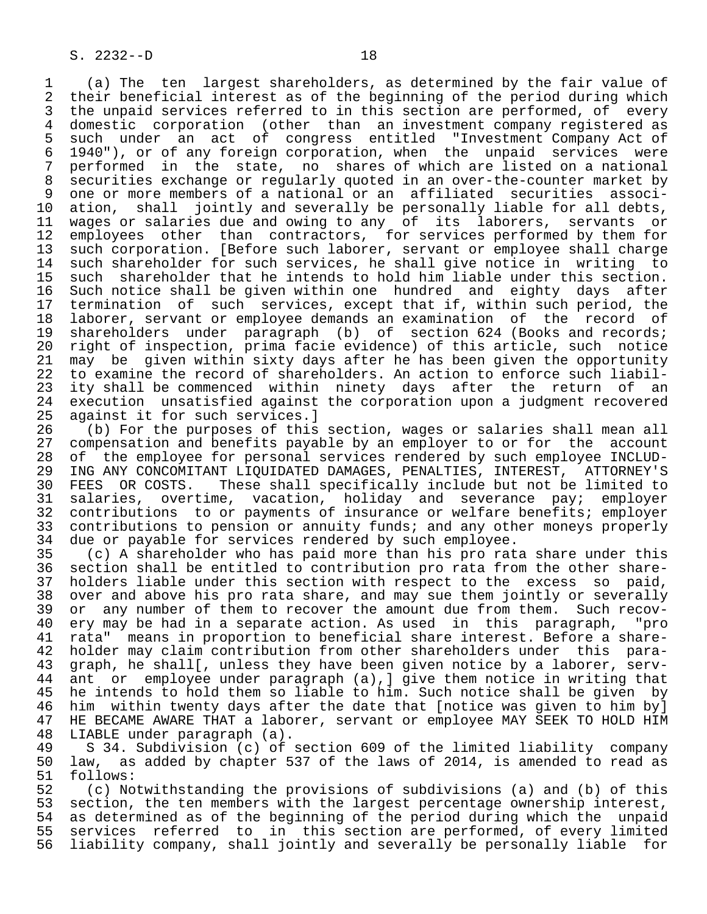1 (a) The ten largest shareholders, as determined by the fair value of 2 their beneficial interest as of the beginning of the period during which<br>3 the unpaid services referred to in this section are performed, of every 3 the unpaid services referred to in this section are performed, of every<br>4 domestic corporation (other than an investment company registered as 4 domestic corporation (other than an investment company registered as 5 such under an act of congress entitled "Investment-Company-Act-of-<br>6 1940"), or of any foreign corporation, when the unpaid services were 6 1940"), or of any foreign corporation, when the unpaid services were<br>7 performed in the state, no shares of which are listed on a national 7 performed in the state, no shares of which are listed on a national 8 securities exchange or regularly quoted in an over-the-counter market by<br>8 one or more members of a national or an affiliated securities associ-9 one or more members of a national or an affiliated securities associ-<br>10 ation, shall jointly and severally be personally liable for all debts, 10 ation, shall jointly and severally be personally liable for all debts,<br>11 wages or salaries due and owing to any of its laborers, servants or 11 wages or salaries due and owing to any of its laborers, servants or<br>12 employees other than contractors, for services performed by them for 12 employees other than contractors, for services performed by them for<br>13 such corporation. [Before such laborer, servant or employee shall charge 13 such corporation. [Before such laborer, servant or employee shall charge<br>14 such shareholder for such services, he shall give notice in writing to 14 such shareholder for such services, he shall give notice in writing to<br>15 such shareholder that he intends to hold him liable under this section. 15 such shareholder that he intends to hold him liable under this section.<br>16 Such notice shall be given within one hundred and eighty days after 16 Such notice shall be given within one hundred and eighty days after 17 termination of such services, except that if, within such period, the 18 laborer, servant or employee demands an examination of the record of<br>19 shareholders under paragraph (b) of section 624 (Books and records; 19 shareholders under paragraph (b) of section 624 (Books and records;<br>20 right of inspection, prima facie evidence) of this article, such notice 20 right of inspection, prima facie evidence) of this article, such notice<br>21 may be given within sixty days after he has been given the opportunity 21 may be given within sixty days after he has been given the opportunity<br>22 to examine the record of shareholders. An action to enforce such liabil-22 to examine the record of shareholders. An action to enforce such liabil-<br>23 ity shall be commenced within ninety days after the return of an 23 ity shall be commenced within ninety days after the return of an<br>24 execution unsatisfied against the corporation upon a judgment recovered 24 execution unsatisfied against the corporation upon a judgment recovered<br>25 against it for such services. 1 against it for such services.]

26 (b) For the purposes of this section, wages or salaries shall mean all<br>27 compensation and benefits payable by an employer to or for the account 27 compensation and benefits payable by an employer to or for the account<br>28 of the employee for personal services rendered by such employee INCLUD-28 of the employee for personal services rendered by such employee INCLUD-<br>29 ING ANY CONCOMITANT LIOUIDATED DAMAGES, PENALTIES, INTEREST, ATTORNEY'S 29 ING ANY CONCOMITANT LIQUIDATED DAMAGES, PENALTIES, INTEREST, ATTORNEY'S<br>30 FEES OR COSTS. These shall specifically include but not be limited to 30 FEES OR COSTS. These shall specifically include but not be limited to<br>31 salaries, overtime, vacation, holiday and severance pav; emplover 31 salaries, overtime, vacation, holiday and severance pay; employer 32 contributions to or payments of insurance or welfare benefits; employer 33 contributions to pension or annuity funds; and any other moneys properly<br>34 due or payable for services rendered by such employee. 34 due or payable for services rendered by such employee.<br>35 (c) A shareholder who has paid more than his pro rat

35 (c) A shareholder who has paid more than his pro rata share under this<br>36 section shall be entitled to contribution pro rata from the other sharesection shall be entitled to contribution pro rata from the other share-37 holders liable under this section with respect to the excess so paid,<br>38 over and above his pro rata share, and may sue them jointly or severally 38 over and above his pro rata share, and may sue them jointly or severally<br>39 or any number of them to recover the amount due from them. Such recov-39 or any number of them to recover the amount due from them. Such recov-<br>40 ery may be had in a separate action. As used in this paragraph, "pro 40 ery may be had in a separate action. As used in this paragraph, "pro<br>41 rata" means in proportion to beneficial share interest. Before a share-41 rata" means in proportion to beneficial share interest. Before a share-<br>42 holder may claim contribution from other shareholders under this para-42 holder may claim contribution from other shareholders under this para-<br>43 graph, he shall[, unless they have been given notice by a laborer, serv-43 graph, he shall[, unless they have been given notice by a laborer, serv-<br>44 ant or employee under paragraph (a), give them notice in writing that 44 ant or employee under paragraph (a), ] give them notice in writing that<br>45 he intends to hold them so liable to him. Such notice shall be given by he intends to hold them so liable to him. Such notice shall be given by 46 him within twenty days after the date that [notice was given to him by]<br>47 HE BECAME AWARE THAT a laborer, servant or employee MAY SEEK TO HOLD HIM HE BECAME AWARE THAT a laborer, servant or employee MAY SEEK TO HOLD HIM

48 LIABLE under paragraph (a).<br>49 S 34. Subdivision (c) of 49 S 34. Subdivision (c) of section 609 of the limited liability company<br>50 law, as added by chapter 537 of the laws of 2014, is amended to read as 50 law, as added by chapter 537 of the laws of 2014, is amended to read as 51 follows: 51 follows:<br>52 (c) No

52 (c) Notwithstanding the provisions of subdivisions (a) and (b) of this<br>53 section, the ten members with the largest percentage ownership interest, 53 section, the ten members with the largest percentage ownership interest,<br>54 as determined as of the beginning of the period during which the unpaid 54 as determined as of the beginning of the period during which the unpaid<br>55 services referred to in this section are performed, of every limited 55 services referred to in this section are performed, of every limited<br>56 liability company, shall jointly and severally be personally liable for 56 liability company, shall jointly and severally be personally liable for